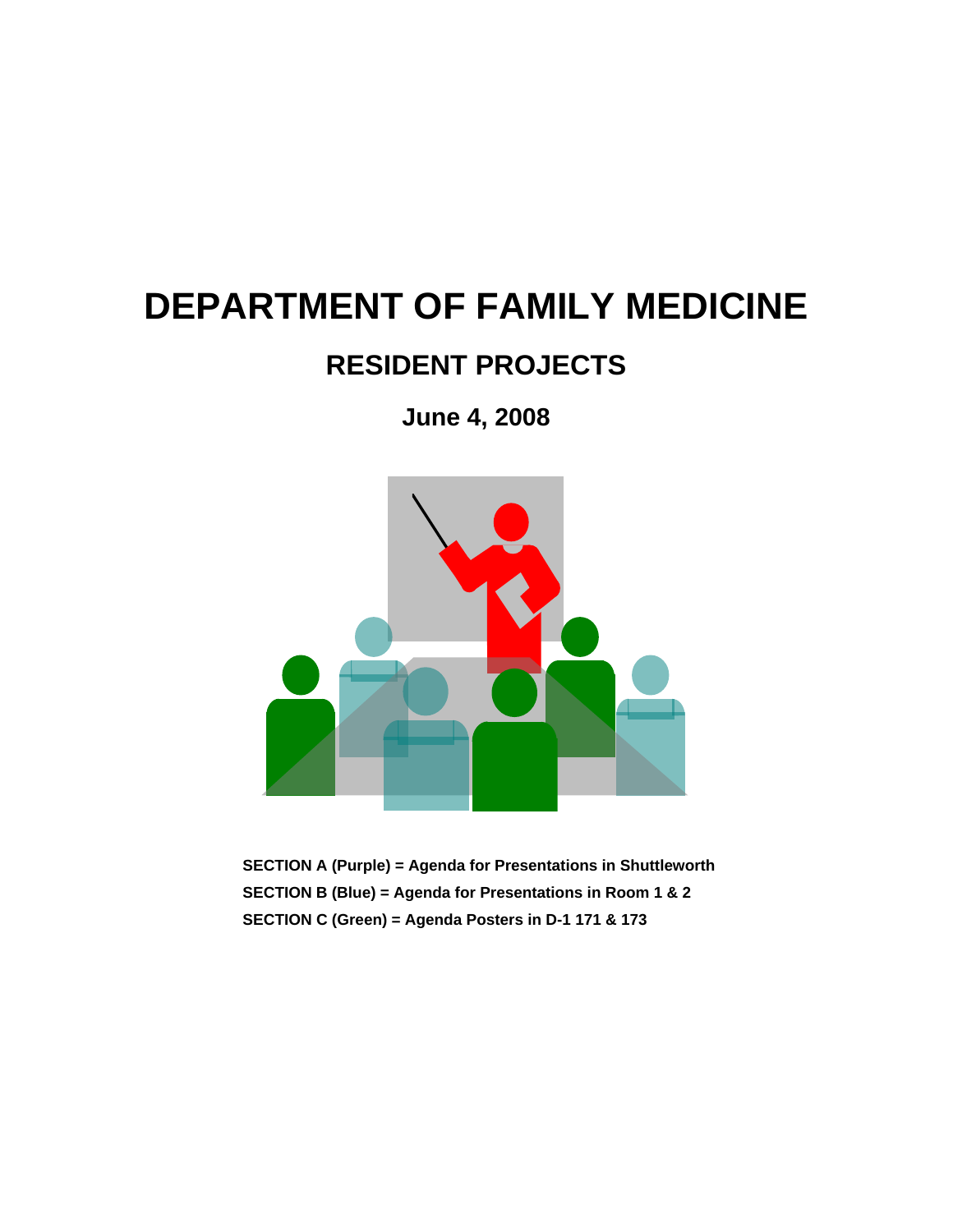# **DEPARTMENT OF FAMILY MEDICINE**

# **RESIDENT PROJECTS**

**June 4, 2008** 



**SECTION A (Purple) = Agenda for Presentations in Shuttleworth SECTION B (Blue) = Agenda for Presentations in Room 1 & 2 SECTION C (Green) = Agenda Posters in D-1 171 & 173**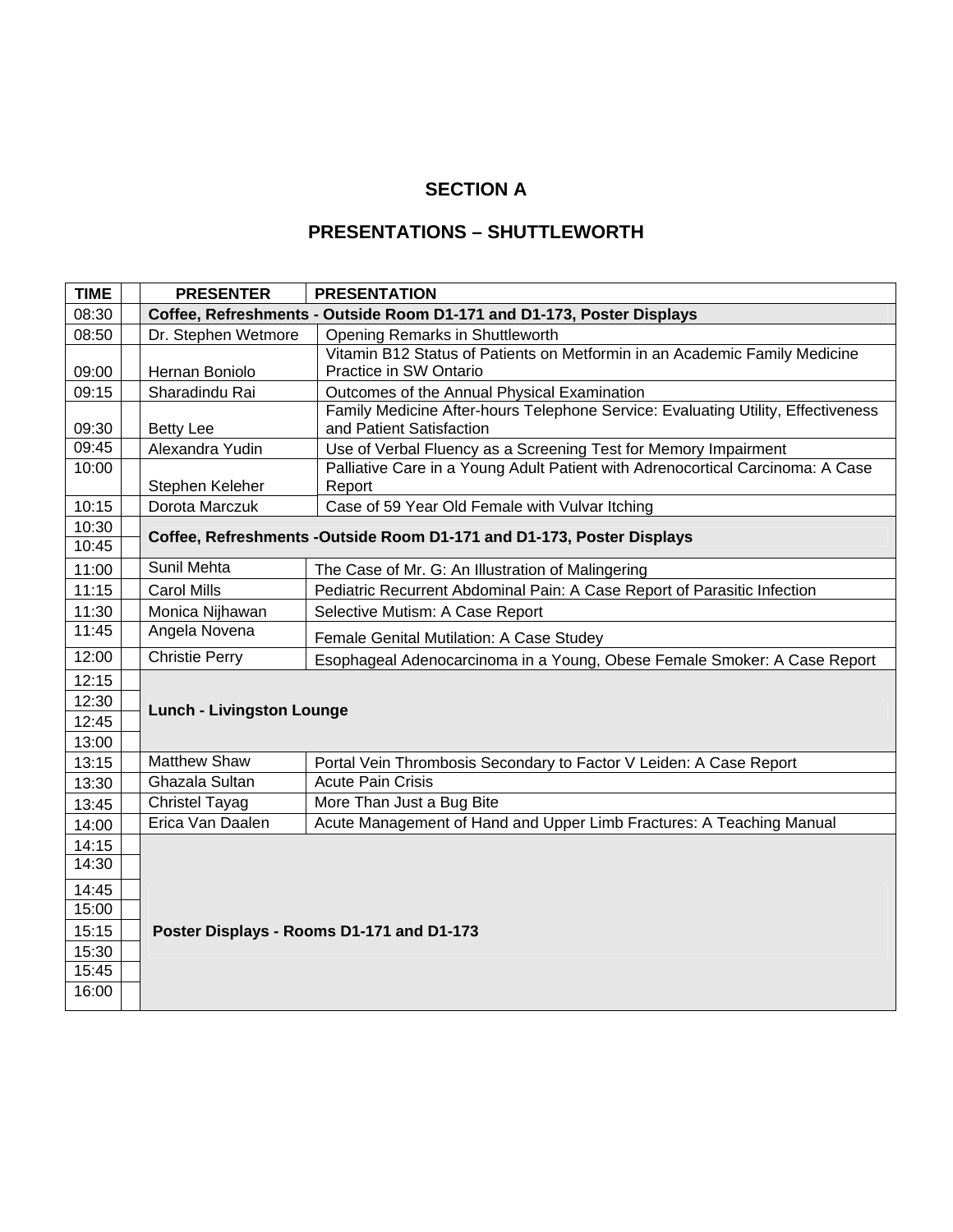### **SECTION A**

#### **PRESENTATIONS – SHUTTLEWORTH**

| <b>TIME</b> | <b>PRESENTER</b>                                                       | <b>PRESENTATION</b>                                                                                          |  |
|-------------|------------------------------------------------------------------------|--------------------------------------------------------------------------------------------------------------|--|
| 08:30       | Coffee, Refreshments - Outside Room D1-171 and D1-173, Poster Displays |                                                                                                              |  |
| 08:50       | Dr. Stephen Wetmore                                                    | Opening Remarks in Shuttleworth                                                                              |  |
|             |                                                                        | Vitamin B12 Status of Patients on Metformin in an Academic Family Medicine                                   |  |
| 09:00       | Hernan Boniolo                                                         | Practice in SW Ontario                                                                                       |  |
| 09:15       | Sharadindu Rai                                                         | Outcomes of the Annual Physical Examination                                                                  |  |
| 09:30       | <b>Betty Lee</b>                                                       | Family Medicine After-hours Telephone Service: Evaluating Utility, Effectiveness<br>and Patient Satisfaction |  |
| 09:45       | Alexandra Yudin                                                        | Use of Verbal Fluency as a Screening Test for Memory Impairment                                              |  |
| 10:00       | Stephen Keleher                                                        | Palliative Care in a Young Adult Patient with Adrenocortical Carcinoma: A Case<br>Report                     |  |
| 10:15       | Dorota Marczuk                                                         | Case of 59 Year Old Female with Vulvar Itching                                                               |  |
| 10:30       |                                                                        | Coffee, Refreshments -Outside Room D1-171 and D1-173, Poster Displays                                        |  |
| 10:45       |                                                                        |                                                                                                              |  |
| 11:00       | <b>Sunil Mehta</b>                                                     | The Case of Mr. G: An Illustration of Malingering                                                            |  |
| 11:15       | <b>Carol Mills</b>                                                     | Pediatric Recurrent Abdominal Pain: A Case Report of Parasitic Infection                                     |  |
| 11:30       | Monica Nijhawan                                                        | Selective Mutism: A Case Report                                                                              |  |
| 11:45       | Angela Novena                                                          | Female Genital Mutilation: A Case Studey                                                                     |  |
| 12:00       | <b>Christie Perry</b>                                                  | Esophageal Adenocarcinoma in a Young, Obese Female Smoker: A Case Report                                     |  |
| 12:15       | <b>Lunch - Livingston Lounge</b>                                       |                                                                                                              |  |
| 12:30       |                                                                        |                                                                                                              |  |
| 12:45       |                                                                        |                                                                                                              |  |
| 13:00       |                                                                        |                                                                                                              |  |
| 13:15       | Matthew Shaw                                                           | Portal Vein Thrombosis Secondary to Factor V Leiden: A Case Report                                           |  |
| 13:30       | Ghazala Sultan                                                         | <b>Acute Pain Crisis</b>                                                                                     |  |
| 13:45       | <b>Christel Tayag</b>                                                  | More Than Just a Bug Bite                                                                                    |  |
| 14:00       | Erica Van Daalen                                                       | Acute Management of Hand and Upper Limb Fractures: A Teaching Manual                                         |  |
| 14:15       |                                                                        |                                                                                                              |  |
| 14:30       |                                                                        |                                                                                                              |  |
| 14:45       |                                                                        |                                                                                                              |  |
| 15:00       |                                                                        |                                                                                                              |  |
| 15:15       |                                                                        | Poster Displays - Rooms D1-171 and D1-173                                                                    |  |
| 15:30       |                                                                        |                                                                                                              |  |
| 15:45       |                                                                        |                                                                                                              |  |
| 16:00       |                                                                        |                                                                                                              |  |
|             |                                                                        |                                                                                                              |  |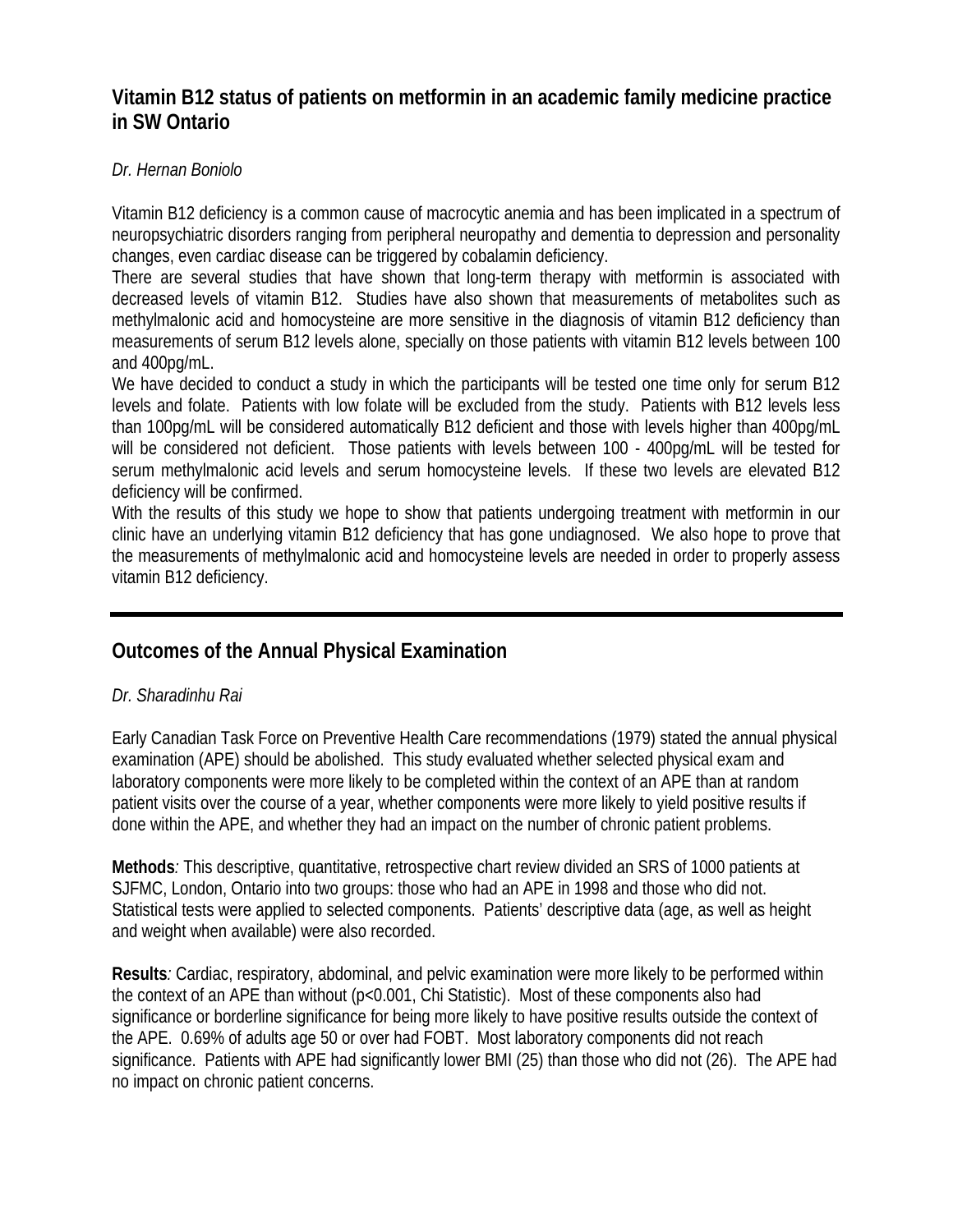### **Vitamin B12 status of patients on metformin in an academic family medicine practice in SW Ontario**

#### *Dr. Hernan Boniolo*

Vitamin B12 deficiency is a common cause of macrocytic anemia and has been implicated in a spectrum of neuropsychiatric disorders ranging from peripheral neuropathy and dementia to depression and personality changes, even cardiac disease can be triggered by cobalamin deficiency.

There are several studies that have shown that long-term therapy with metformin is associated with decreased levels of vitamin B12. Studies have also shown that measurements of metabolites such as methylmalonic acid and homocysteine are more sensitive in the diagnosis of vitamin B12 deficiency than measurements of serum B12 levels alone, specially on those patients with vitamin B12 levels between 100 and 400pg/mL.

We have decided to conduct a study in which the participants will be tested one time only for serum B12 levels and folate. Patients with low folate will be excluded from the study. Patients with B12 levels less than 100pg/mL will be considered automatically B12 deficient and those with levels higher than 400pg/mL will be considered not deficient. Those patients with levels between 100 - 400pg/mL will be tested for serum methylmalonic acid levels and serum homocysteine levels. If these two levels are elevated B12 deficiency will be confirmed.

With the results of this study we hope to show that patients undergoing treatment with metformin in our clinic have an underlying vitamin B12 deficiency that has gone undiagnosed. We also hope to prove that the measurements of methylmalonic acid and homocysteine levels are needed in order to properly assess vitamin B12 deficiency.

### **Outcomes of the Annual Physical Examination**

#### *Dr. Sharadinhu Rai*

Early Canadian Task Force on Preventive Health Care recommendations (1979) stated the annual physical examination (APE) should be abolished. This study evaluated whether selected physical exam and laboratory components were more likely to be completed within the context of an APE than at random patient visits over the course of a year, whether components were more likely to yield positive results if done within the APE, and whether they had an impact on the number of chronic patient problems.

**Methods***:* This descriptive, quantitative, retrospective chart review divided an SRS of 1000 patients at SJFMC, London, Ontario into two groups: those who had an APE in 1998 and those who did not. Statistical tests were applied to selected components. Patients' descriptive data (age, as well as height and weight when available) were also recorded.

**Results***:* Cardiac, respiratory, abdominal, and pelvic examination were more likely to be performed within the context of an APE than without (p<0.001, Chi Statistic). Most of these components also had significance or borderline significance for being more likely to have positive results outside the context of the APE. 0.69% of adults age 50 or over had FOBT. Most laboratory components did not reach significance. Patients with APE had significantly lower BMI (25) than those who did not (26). The APE had no impact on chronic patient concerns.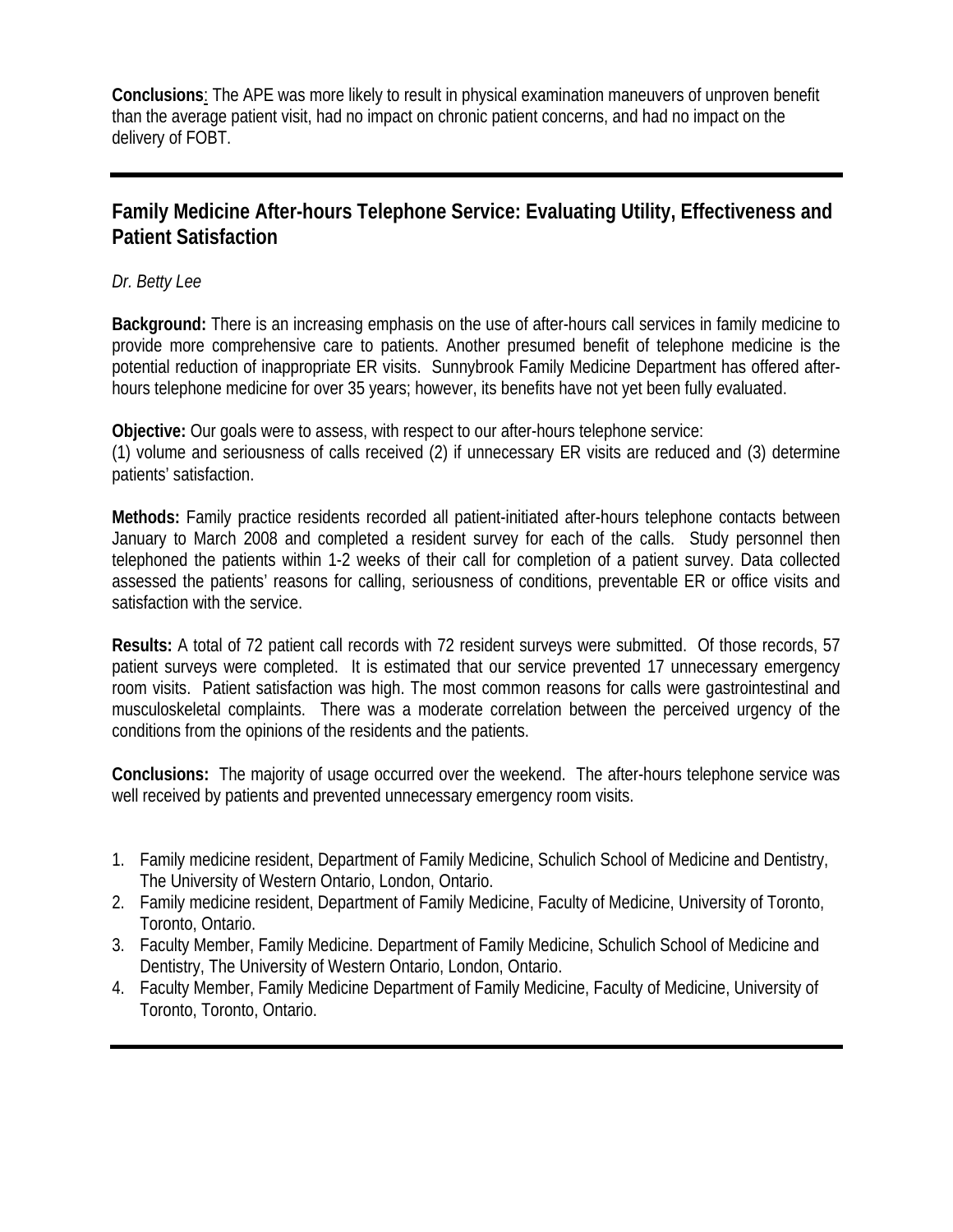**Conclusions**: The APE was more likely to result in physical examination maneuvers of unproven benefit than the average patient visit, had no impact on chronic patient concerns, and had no impact on the delivery of FOBT.

### **Family Medicine After-hours Telephone Service: Evaluating Utility, Effectiveness and Patient Satisfaction**

*Dr. Betty Lee* 

**Background:** There is an increasing emphasis on the use of after-hours call services in family medicine to provide more comprehensive care to patients. Another presumed benefit of telephone medicine is the potential reduction of inappropriate ER visits. Sunnybrook Family Medicine Department has offered afterhours telephone medicine for over 35 years; however, its benefits have not yet been fully evaluated.

**Objective:** Our goals were to assess, with respect to our after-hours telephone service: (1) volume and seriousness of calls received (2) if unnecessary ER visits are reduced and (3) determine patients' satisfaction.

**Methods:** Family practice residents recorded all patient-initiated after-hours telephone contacts between January to March 2008 and completed a resident survey for each of the calls. Study personnel then telephoned the patients within 1-2 weeks of their call for completion of a patient survey. Data collected assessed the patients' reasons for calling, seriousness of conditions, preventable ER or office visits and satisfaction with the service.

**Results:** A total of 72 patient call records with 72 resident surveys were submitted. Of those records, 57 patient surveys were completed. It is estimated that our service prevented 17 unnecessary emergency room visits. Patient satisfaction was high. The most common reasons for calls were gastrointestinal and musculoskeletal complaints. There was a moderate correlation between the perceived urgency of the conditions from the opinions of the residents and the patients.

**Conclusions:** The majority of usage occurred over the weekend. The after-hours telephone service was well received by patients and prevented unnecessary emergency room visits.

- 1. Family medicine resident, Department of Family Medicine, Schulich School of Medicine and Dentistry, The University of Western Ontario, London, Ontario.
- 2. Family medicine resident, Department of Family Medicine, Faculty of Medicine, University of Toronto, Toronto, Ontario.
- 3. Faculty Member, Family Medicine. Department of Family Medicine, Schulich School of Medicine and Dentistry, The University of Western Ontario, London, Ontario.
- 4. Faculty Member, Family Medicine Department of Family Medicine, Faculty of Medicine, University of Toronto, Toronto, Ontario.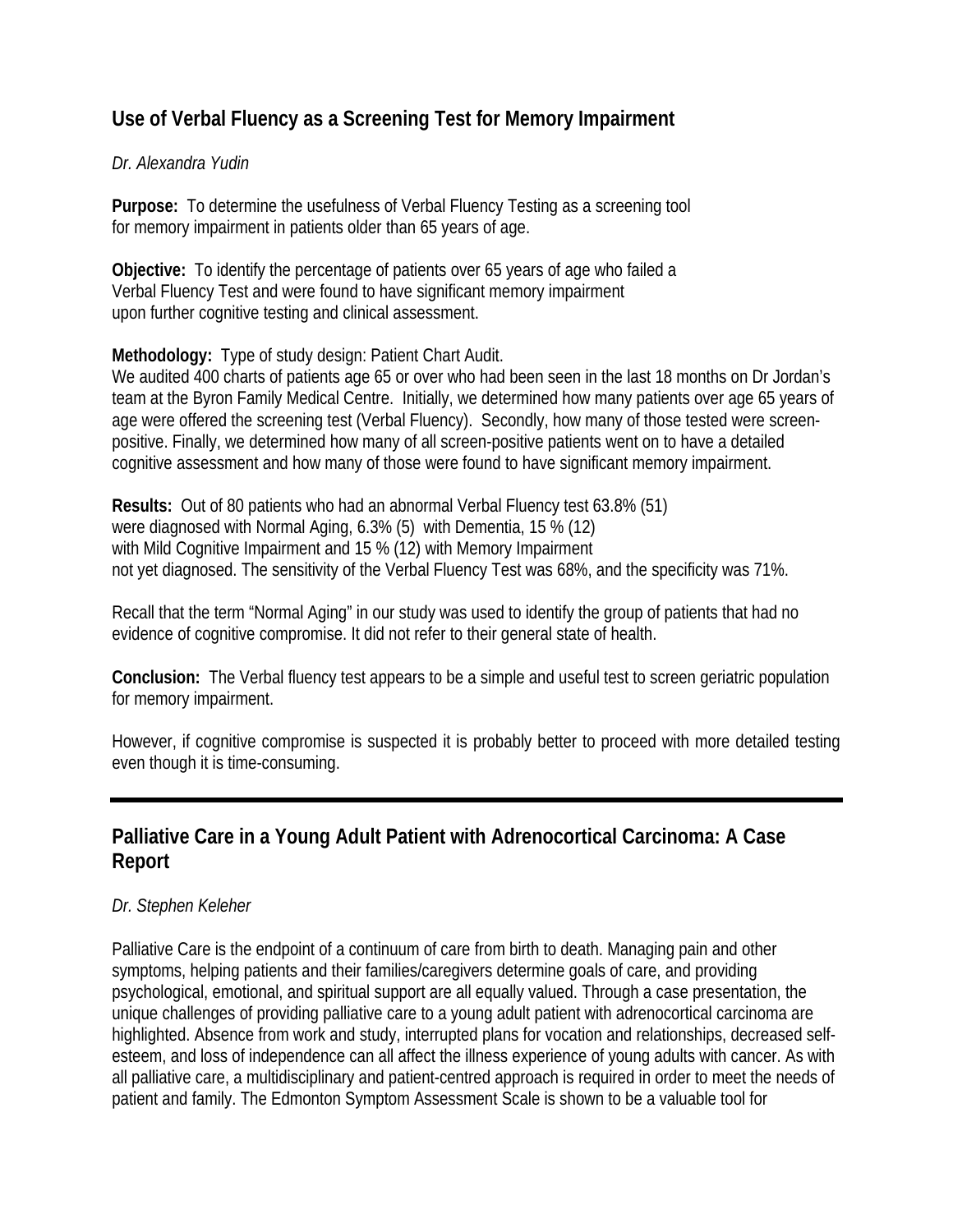# **Use of Verbal Fluency as a Screening Test for Memory Impairment**

#### *Dr. Alexandra Yudin*

**Purpose:** To determine the usefulness of Verbal Fluency Testing as a screening tool for memory impairment in patients older than 65 years of age.

**Objective:** To identify the percentage of patients over 65 years of age who failed a Verbal Fluency Test and were found to have significant memory impairment upon further cognitive testing and clinical assessment.

#### **Methodology:** Type of study design: Patient Chart Audit.

We audited 400 charts of patients age 65 or over who had been seen in the last 18 months on Dr Jordan's team at the Byron Family Medical Centre. Initially, we determined how many patients over age 65 years of age were offered the screening test (Verbal Fluency). Secondly, how many of those tested were screenpositive. Finally, we determined how many of all screen-positive patients went on to have a detailed cognitive assessment and how many of those were found to have significant memory impairment.

**Results:** Out of 80 patients who had an abnormal Verbal Fluency test 63.8% (51) were diagnosed with Normal Aging, 6.3% (5) with Dementia, 15 % (12) with Mild Cognitive Impairment and 15 % (12) with Memory Impairment not yet diagnosed. The sensitivity of the Verbal Fluency Test was 68%, and the specificity was 71%.

Recall that the term "Normal Aging" in our study was used to identify the group of patients that had no evidence of cognitive compromise. It did not refer to their general state of health.

**Conclusion:** The Verbal fluency test appears to be a simple and useful test to screen geriatric population for memory impairment.

However, if cognitive compromise is suspected it is probably better to proceed with more detailed testing even though it is time-consuming.

### **Palliative Care in a Young Adult Patient with Adrenocortical Carcinoma: A Case Report**

#### *Dr. Stephen Keleher*

Palliative Care is the endpoint of a continuum of care from birth to death. Managing pain and other symptoms, helping patients and their families/caregivers determine goals of care, and providing psychological, emotional, and spiritual support are all equally valued. Through a case presentation, the unique challenges of providing palliative care to a young adult patient with adrenocortical carcinoma are highlighted. Absence from work and study, interrupted plans for vocation and relationships, decreased selfesteem, and loss of independence can all affect the illness experience of young adults with cancer. As with all palliative care, a multidisciplinary and patient-centred approach is required in order to meet the needs of patient and family. The Edmonton Symptom Assessment Scale is shown to be a valuable tool for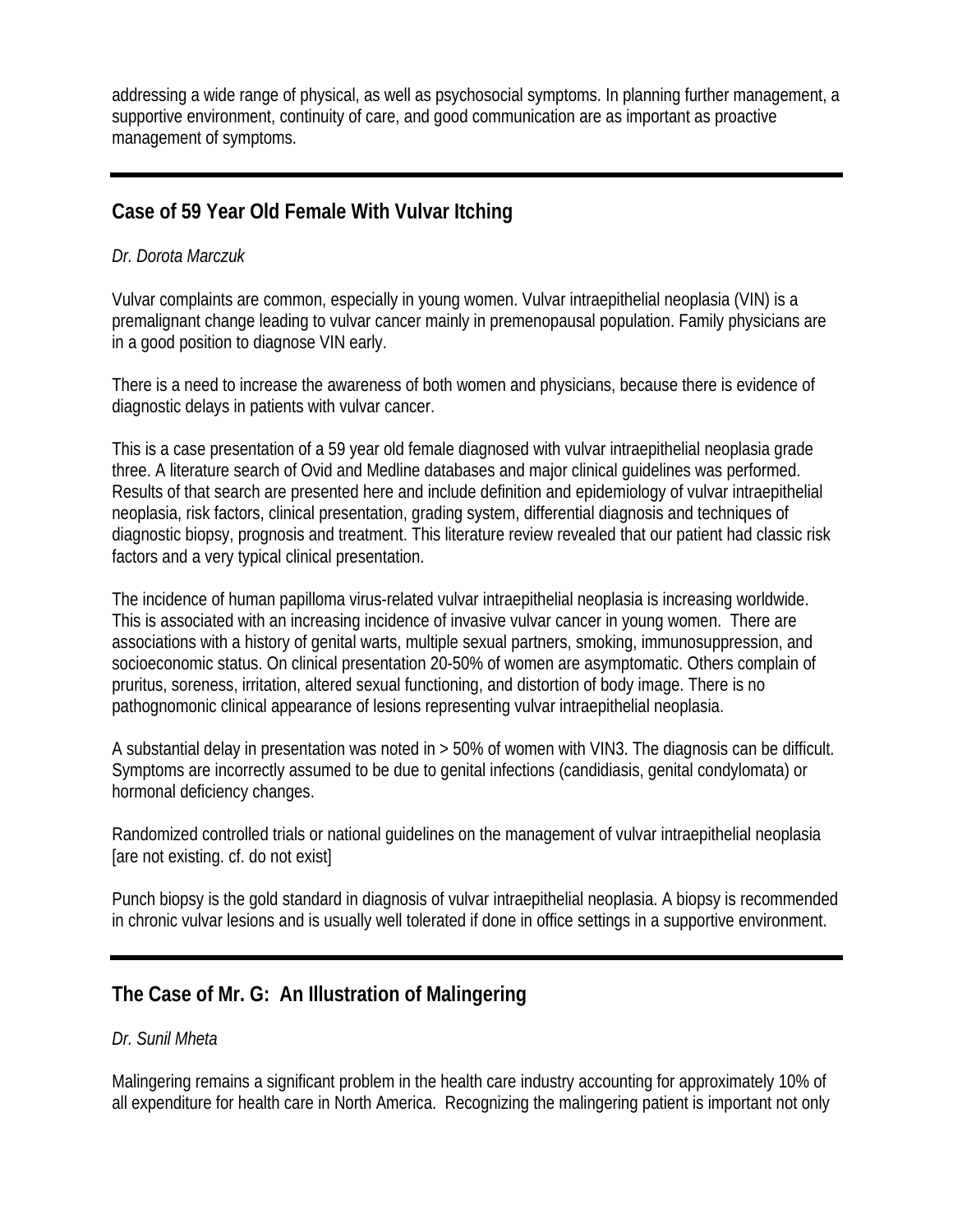addressing a wide range of physical, as well as psychosocial symptoms. In planning further management, a supportive environment, continuity of care, and good communication are as important as proactive management of symptoms.

# **Case of 59 Year Old Female With Vulvar Itching**

#### *Dr. Dorota Marczuk*

Vulvar complaints are common, especially in young women. Vulvar intraepithelial neoplasia (VIN) is a premalignant change leading to vulvar cancer mainly in premenopausal population. Family physicians are in a good position to diagnose VIN early.

There is a need to increase the awareness of both women and physicians, because there is evidence of diagnostic delays in patients with vulvar cancer.

This is a case presentation of a 59 year old female diagnosed with vulvar intraepithelial neoplasia grade three. A literature search of Ovid and Medline databases and major clinical guidelines was performed. Results of that search are presented here and include definition and epidemiology of vulvar intraepithelial neoplasia, risk factors, clinical presentation, grading system, differential diagnosis and techniques of diagnostic biopsy, prognosis and treatment. This literature review revealed that our patient had classic risk factors and a very typical clinical presentation.

The incidence of human papilloma virus-related vulvar intraepithelial neoplasia is increasing worldwide. This is associated with an increasing incidence of invasive vulvar cancer in young women. There are associations with a history of genital warts, multiple sexual partners, smoking, immunosuppression, and socioeconomic status. On clinical presentation 20-50% of women are asymptomatic. Others complain of pruritus, soreness, irritation, altered sexual functioning, and distortion of body image. There is no pathognomonic clinical appearance of lesions representing vulvar intraepithelial neoplasia.

A substantial delay in presentation was noted in > 50% of women with VIN3. The diagnosis can be difficult. Symptoms are incorrectly assumed to be due to genital infections (candidiasis, genital condylomata) or hormonal deficiency changes.

Randomized controlled trials or national guidelines on the management of vulvar intraepithelial neoplasia [are not existing. cf. do not exist]

Punch biopsy is the gold standard in diagnosis of vulvar intraepithelial neoplasia. A biopsy is recommended in chronic vulvar lesions and is usually well tolerated if done in office settings in a supportive environment.

# **The Case of Mr. G: An Illustration of Malingering**

#### *Dr. Sunil Mheta*

Malingering remains a significant problem in the health care industry accounting for approximately 10% of all expenditure for health care in North America. Recognizing the malingering patient is important not only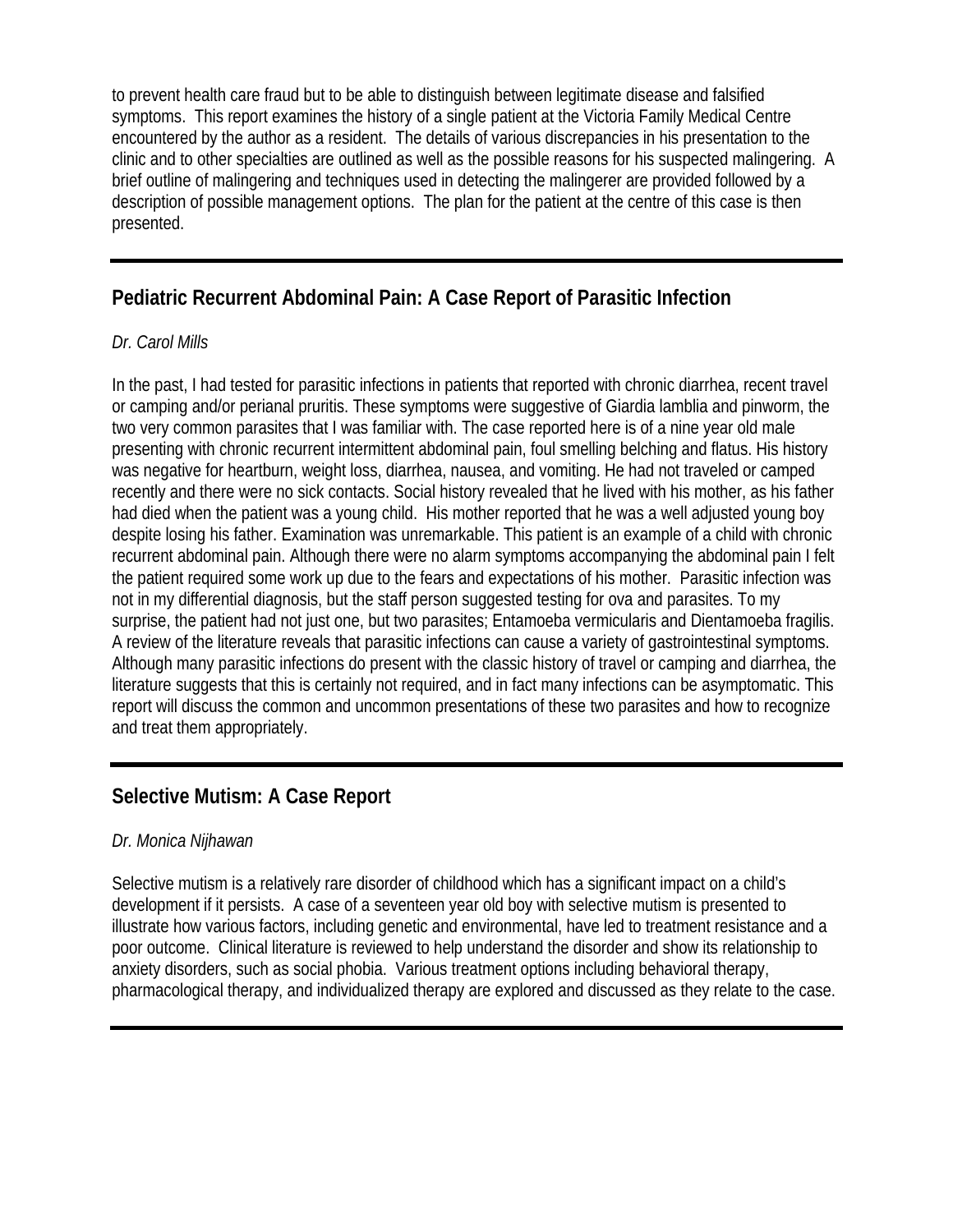to prevent health care fraud but to be able to distinguish between legitimate disease and falsified symptoms. This report examines the history of a single patient at the Victoria Family Medical Centre encountered by the author as a resident. The details of various discrepancies in his presentation to the clinic and to other specialties are outlined as well as the possible reasons for his suspected malingering. A brief outline of malingering and techniques used in detecting the malingerer are provided followed by a description of possible management options. The plan for the patient at the centre of this case is then presented.

# **Pediatric Recurrent Abdominal Pain: A Case Report of Parasitic Infection**

#### *Dr. Carol Mills*

In the past, I had tested for parasitic infections in patients that reported with chronic diarrhea, recent travel or camping and/or perianal pruritis. These symptoms were suggestive of Giardia lamblia and pinworm, the two very common parasites that I was familiar with. The case reported here is of a nine year old male presenting with chronic recurrent intermittent abdominal pain, foul smelling belching and flatus. His history was negative for heartburn, weight loss, diarrhea, nausea, and vomiting. He had not traveled or camped recently and there were no sick contacts. Social history revealed that he lived with his mother, as his father had died when the patient was a young child. His mother reported that he was a well adjusted young boy despite losing his father. Examination was unremarkable. This patient is an example of a child with chronic recurrent abdominal pain. Although there were no alarm symptoms accompanying the abdominal pain I felt the patient required some work up due to the fears and expectations of his mother. Parasitic infection was not in my differential diagnosis, but the staff person suggested testing for ova and parasites. To my surprise, the patient had not just one, but two parasites; Entamoeba vermicularis and Dientamoeba fragilis. A review of the literature reveals that parasitic infections can cause a variety of gastrointestinal symptoms. Although many parasitic infections do present with the classic history of travel or camping and diarrhea, the literature suggests that this is certainly not required, and in fact many infections can be asymptomatic. This report will discuss the common and uncommon presentations of these two parasites and how to recognize and treat them appropriately.

# **Selective Mutism: A Case Report**

#### *Dr. Monica Nijhawan*

Selective mutism is a relatively rare disorder of childhood which has a significant impact on a child's development if it persists. A case of a seventeen year old boy with selective mutism is presented to illustrate how various factors, including genetic and environmental, have led to treatment resistance and a poor outcome. Clinical literature is reviewed to help understand the disorder and show its relationship to anxiety disorders, such as social phobia. Various treatment options including behavioral therapy, pharmacological therapy, and individualized therapy are explored and discussed as they relate to the case.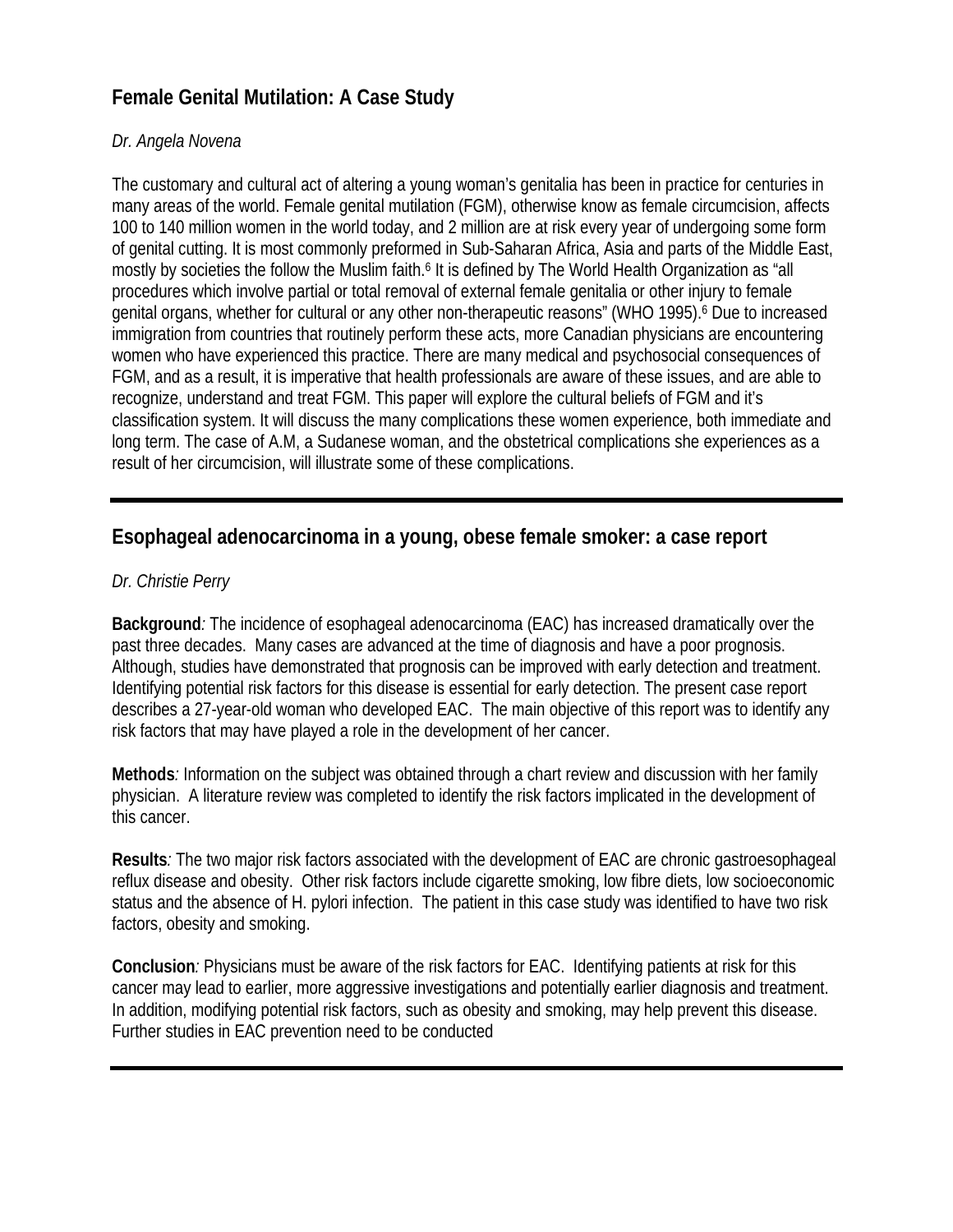# **Female Genital Mutilation: A Case Study**

#### *Dr. Angela Novena*

The customary and cultural act of altering a young woman's genitalia has been in practice for centuries in many areas of the world. Female genital mutilation (FGM), otherwise know as female circumcision, affects 100 to 140 million women in the world today, and 2 million are at risk every year of undergoing some form of genital cutting. It is most commonly preformed in Sub-Saharan Africa, Asia and parts of the Middle East, mostly by societies the follow the Muslim faith.<sup>6</sup> It is defined by The World Health Organization as "all procedures which involve partial or total removal of external female genitalia or other injury to female genital organs, whether for cultural or any other non-therapeutic reasons" (WHO 1995).<sup>6</sup> Due to increased immigration from countries that routinely perform these acts, more Canadian physicians are encountering women who have experienced this practice. There are many medical and psychosocial consequences of FGM, and as a result, it is imperative that health professionals are aware of these issues, and are able to recognize, understand and treat FGM. This paper will explore the cultural beliefs of FGM and it's classification system. It will discuss the many complications these women experience, both immediate and long term. The case of A.M, a Sudanese woman, and the obstetrical complications she experiences as a result of her circumcision, will illustrate some of these complications.

### **Esophageal adenocarcinoma in a young, obese female smoker: a case report**

#### *Dr. Christie Perry*

**Background***:* The incidence of esophageal adenocarcinoma (EAC) has increased dramatically over the past three decades. Many cases are advanced at the time of diagnosis and have a poor prognosis. Although, studies have demonstrated that prognosis can be improved with early detection and treatment. Identifying potential risk factors for this disease is essential for early detection. The present case report describes a 27-year-old woman who developed EAC. The main objective of this report was to identify any risk factors that may have played a role in the development of her cancer.

**Methods***:* Information on the subject was obtained through a chart review and discussion with her family physician. A literature review was completed to identify the risk factors implicated in the development of this cancer.

**Results***:* The two major risk factors associated with the development of EAC are chronic gastroesophageal reflux disease and obesity. Other risk factors include cigarette smoking, low fibre diets, low socioeconomic status and the absence of H. pylori infection. The patient in this case study was identified to have two risk factors, obesity and smoking.

**Conclusion***:* Physicians must be aware of the risk factors for EAC. Identifying patients at risk for this cancer may lead to earlier, more aggressive investigations and potentially earlier diagnosis and treatment. In addition, modifying potential risk factors, such as obesity and smoking, may help prevent this disease. Further studies in EAC prevention need to be conducted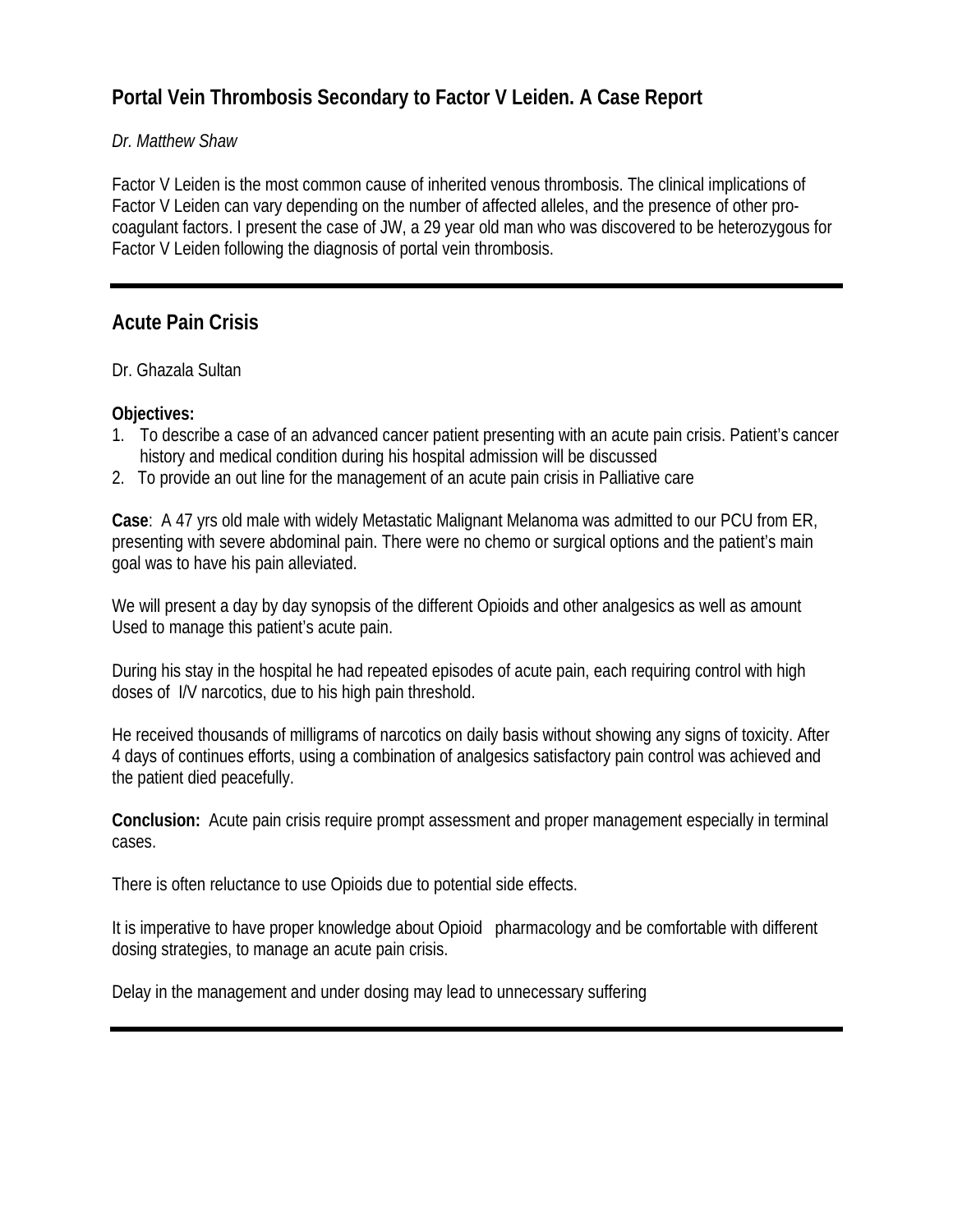# **Portal Vein Thrombosis Secondary to Factor V Leiden. A Case Report**

#### *Dr. Matthew Shaw*

Factor V Leiden is the most common cause of inherited venous thrombosis. The clinical implications of Factor V Leiden can vary depending on the number of affected alleles, and the presence of other procoagulant factors. I present the case of JW, a 29 year old man who was discovered to be heterozygous for Factor V Leiden following the diagnosis of portal vein thrombosis.

### **Acute Pain Crisis**

Dr. Ghazala Sultan

#### **Objectives:**

- 1. To describe a case of an advanced cancer patient presenting with an acute pain crisis. Patient's cancer history and medical condition during his hospital admission will be discussed
- 2. To provide an out line for the management of an acute pain crisis in Palliative care

**Case**: A 47 yrs old male with widely Metastatic Malignant Melanoma was admitted to our PCU from ER, presenting with severe abdominal pain. There were no chemo or surgical options and the patient's main goal was to have his pain alleviated.

We will present a day by day synopsis of the different Opioids and other analgesics as well as amount Used to manage this patient's acute pain.

During his stay in the hospital he had repeated episodes of acute pain, each requiring control with high doses of I/V narcotics, due to his high pain threshold.

He received thousands of milligrams of narcotics on daily basis without showing any signs of toxicity. After 4 days of continues efforts, using a combination of analgesics satisfactory pain control was achieved and the patient died peacefully.

**Conclusion:** Acute pain crisis require prompt assessment and proper management especially in terminal cases.

There is often reluctance to use Opioids due to potential side effects.

It is imperative to have proper knowledge about Opioid pharmacology and be comfortable with different dosing strategies, to manage an acute pain crisis.

Delay in the management and under dosing may lead to unnecessary suffering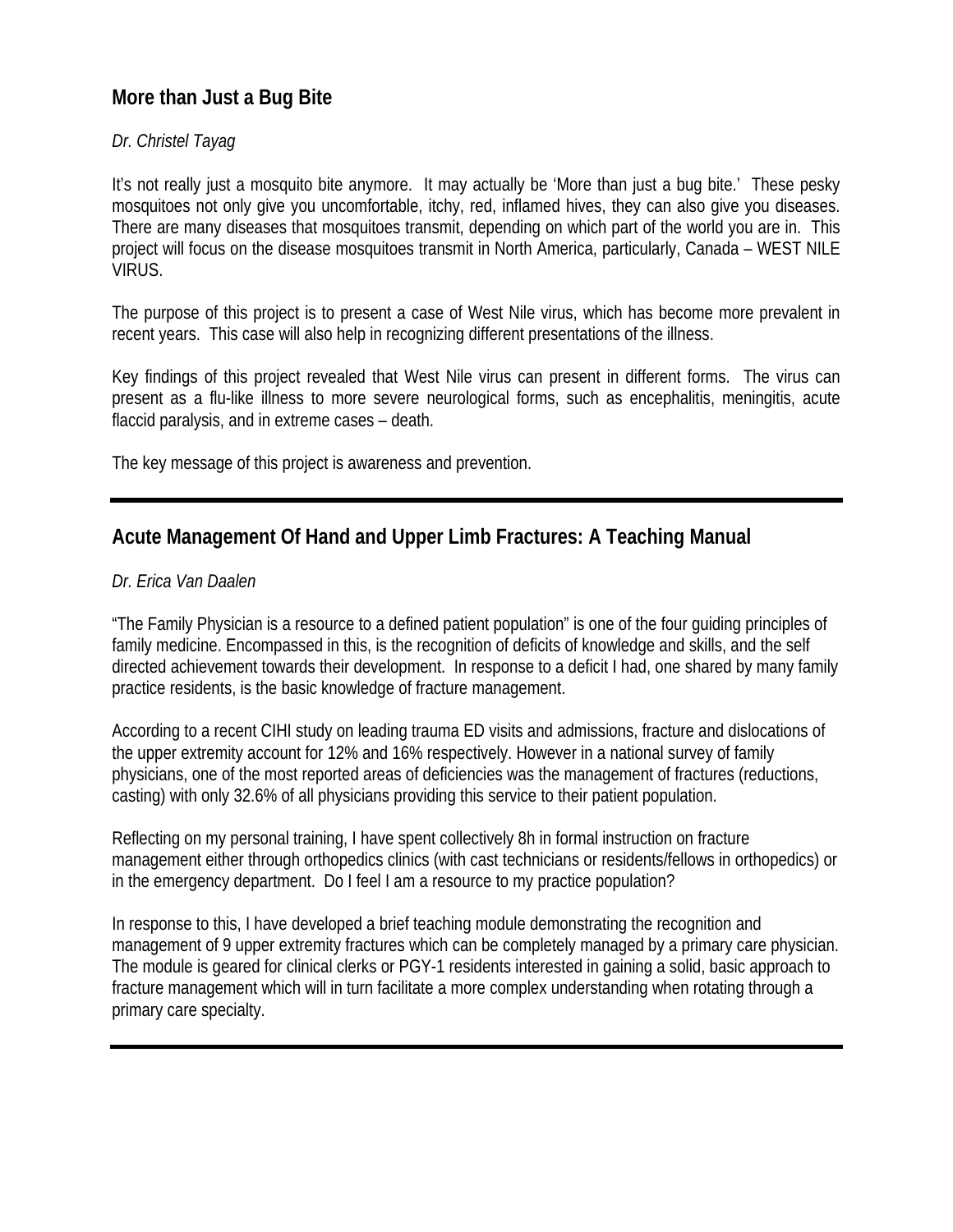# **More than Just a Bug Bite**

#### *Dr. Christel Tayag*

It's not really just a mosquito bite anymore. It may actually be 'More than just a bug bite.' These pesky mosquitoes not only give you uncomfortable, itchy, red, inflamed hives, they can also give you diseases. There are many diseases that mosquitoes transmit, depending on which part of the world you are in. This project will focus on the disease mosquitoes transmit in North America, particularly, Canada – WEST NILE VIRUS.

The purpose of this project is to present a case of West Nile virus, which has become more prevalent in recent years. This case will also help in recognizing different presentations of the illness.

Key findings of this project revealed that West Nile virus can present in different forms. The virus can present as a flu-like illness to more severe neurological forms, such as encephalitis, meningitis, acute flaccid paralysis, and in extreme cases – death.

The key message of this project is awareness and prevention.

# **Acute Management Of Hand and Upper Limb Fractures: A Teaching Manual**

#### *Dr. Erica Van Daalen*

"The Family Physician is a resource to a defined patient population" is one of the four guiding principles of family medicine. Encompassed in this, is the recognition of deficits of knowledge and skills, and the self directed achievement towards their development. In response to a deficit I had, one shared by many family practice residents, is the basic knowledge of fracture management.

According to a recent CIHI study on leading trauma ED visits and admissions, fracture and dislocations of the upper extremity account for 12% and 16% respectively. However in a national survey of family physicians, one of the most reported areas of deficiencies was the management of fractures (reductions, casting) with only 32.6% of all physicians providing this service to their patient population.

Reflecting on my personal training, I have spent collectively 8h in formal instruction on fracture management either through orthopedics clinics (with cast technicians or residents/fellows in orthopedics) or in the emergency department. Do I feel I am a resource to my practice population?

In response to this, I have developed a brief teaching module demonstrating the recognition and management of 9 upper extremity fractures which can be completely managed by a primary care physician. The module is geared for clinical clerks or PGY-1 residents interested in gaining a solid, basic approach to fracture management which will in turn facilitate a more complex understanding when rotating through a primary care specialty.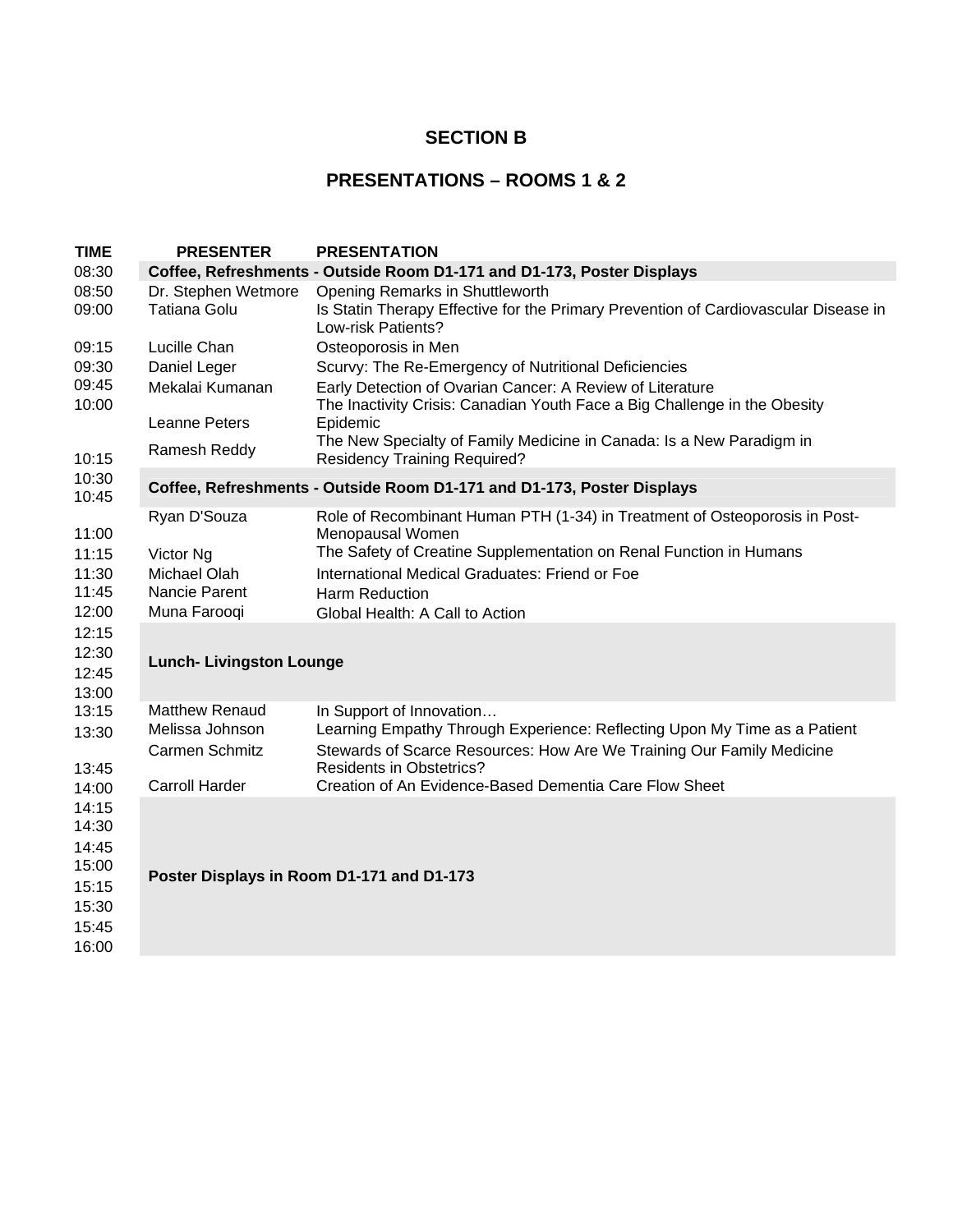### **SECTION B**

### **PRESENTATIONS – ROOMS 1 & 2**

| <b>TIME</b>    | <b>PRESENTER</b>                                                       | <b>PRESENTATION</b>                                                                                                                          |  |
|----------------|------------------------------------------------------------------------|----------------------------------------------------------------------------------------------------------------------------------------------|--|
| 08:30          |                                                                        | Coffee, Refreshments - Outside Room D1-171 and D1-173, Poster Displays                                                                       |  |
| 08:50<br>09:00 | Dr. Stephen Wetmore<br><b>Tatiana Golu</b>                             | Opening Remarks in Shuttleworth<br>Is Statin Therapy Effective for the Primary Prevention of Cardiovascular Disease in<br>Low-risk Patients? |  |
| 09:15          | Lucille Chan                                                           | Osteoporosis in Men                                                                                                                          |  |
| 09:30          | Daniel Leger                                                           | Scurvy: The Re-Emergency of Nutritional Deficiencies                                                                                         |  |
| 09:45<br>10:00 | Mekalai Kumanan                                                        | Early Detection of Ovarian Cancer: A Review of Literature<br>The Inactivity Crisis: Canadian Youth Face a Big Challenge in the Obesity       |  |
|                | Leanne Peters                                                          | Epidemic                                                                                                                                     |  |
| 10:15          | Ramesh Reddy                                                           | The New Specialty of Family Medicine in Canada: Is a New Paradigm in<br><b>Residency Training Required?</b>                                  |  |
| 10:30<br>10:45 | Coffee, Refreshments - Outside Room D1-171 and D1-173, Poster Displays |                                                                                                                                              |  |
| 11:00          | Ryan D'Souza                                                           | Role of Recombinant Human PTH (1-34) in Treatment of Osteoporosis in Post-<br>Menopausal Women                                               |  |
| 11:15          | Victor Ng                                                              | The Safety of Creatine Supplementation on Renal Function in Humans                                                                           |  |
| 11:30          | Michael Olah                                                           | International Medical Graduates: Friend or Foe                                                                                               |  |
| 11:45          | Nancie Parent                                                          | Harm Reduction                                                                                                                               |  |
| 12:00          | Muna Farooqi                                                           | Global Health: A Call to Action                                                                                                              |  |
| 12:15          |                                                                        |                                                                                                                                              |  |
| 12:30          |                                                                        |                                                                                                                                              |  |
| 12:45          | <b>Lunch- Livingston Lounge</b>                                        |                                                                                                                                              |  |
| 13:00          |                                                                        |                                                                                                                                              |  |
| 13:15          | <b>Matthew Renaud</b>                                                  | In Support of Innovation                                                                                                                     |  |
| 13:30          | Melissa Johnson                                                        | Learning Empathy Through Experience: Reflecting Upon My Time as a Patient                                                                    |  |
|                | Carmen Schmitz                                                         | Stewards of Scarce Resources: How Are We Training Our Family Medicine                                                                        |  |
| 13:45          |                                                                        | <b>Residents in Obstetrics?</b>                                                                                                              |  |
| 14:00          | <b>Carroll Harder</b>                                                  | Creation of An Evidence-Based Dementia Care Flow Sheet                                                                                       |  |
| 14:15          |                                                                        |                                                                                                                                              |  |
| 14:30          |                                                                        |                                                                                                                                              |  |
| 14:45          |                                                                        |                                                                                                                                              |  |
| 15:00          |                                                                        | Poster Displays in Room D1-171 and D1-173                                                                                                    |  |
| 15:15          |                                                                        |                                                                                                                                              |  |
| 15:30          |                                                                        |                                                                                                                                              |  |
| 15:45          |                                                                        |                                                                                                                                              |  |
| 16:00          |                                                                        |                                                                                                                                              |  |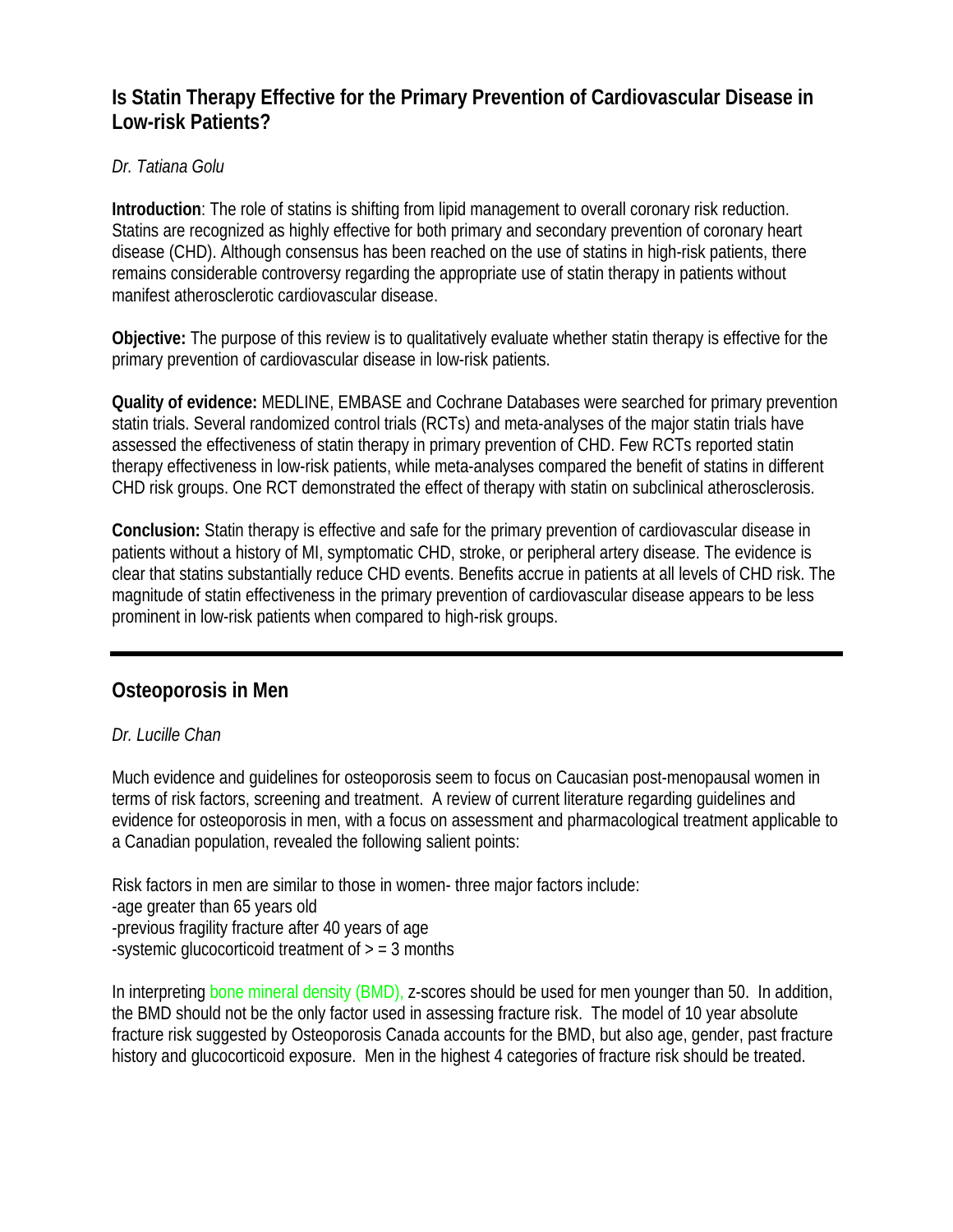# **Is Statin Therapy Effective for the Primary Prevention of Cardiovascular Disease in Low-risk Patients?**

#### *Dr. Tatiana Golu*

**Introduction**: The role of statins is shifting from lipid management to overall coronary risk reduction. Statins are recognized as highly effective for both primary and secondary prevention of coronary heart disease (CHD). Although consensus has been reached on the use of statins in high-risk patients, there remains considerable controversy regarding the appropriate use of statin therapy in patients without manifest atherosclerotic cardiovascular disease.

**Objective:** The purpose of this review is to qualitatively evaluate whether statin therapy is effective for the primary prevention of cardiovascular disease in low-risk patients.

**Quality of evidence:** MEDLINE, EMBASE and Cochrane Databases were searched for primary prevention statin trials. Several randomized control trials (RCTs) and meta-analyses of the major statin trials have assessed the effectiveness of statin therapy in primary prevention of CHD. Few RCTs reported statin therapy effectiveness in low-risk patients, while meta-analyses compared the benefit of statins in different CHD risk groups. One RCT demonstrated the effect of therapy with statin on subclinical atherosclerosis.

**Conclusion:** Statin therapy is effective and safe for the primary prevention of cardiovascular disease in patients without a history of MI, symptomatic CHD, stroke, or peripheral artery disease. The evidence is clear that statins substantially reduce CHD events. Benefits accrue in patients at all levels of CHD risk. The magnitude of statin effectiveness in the primary prevention of cardiovascular disease appears to be less prominent in low-risk patients when compared to high-risk groups.

# **Osteoporosis in Men**

#### *Dr. Lucille Chan*

Much evidence and guidelines for osteoporosis seem to focus on Caucasian post-menopausal women in terms of risk factors, screening and treatment. A review of current literature regarding guidelines and evidence for osteoporosis in men, with a focus on assessment and pharmacological treatment applicable to a Canadian population, revealed the following salient points:

Risk factors in men are similar to those in women- three major factors include: -age greater than 65 years old -previous fragility fracture after 40 years of age -systemic glucocorticoid treatment of  $>$  = 3 months

In interpreting bone mineral density (BMD), z-scores should be used for men younger than 50. In addition, the BMD should not be the only factor used in assessing fracture risk. The model of 10 year absolute fracture risk suggested by Osteoporosis Canada accounts for the BMD, but also age, gender, past fracture history and glucocorticoid exposure. Men in the highest 4 categories of fracture risk should be treated.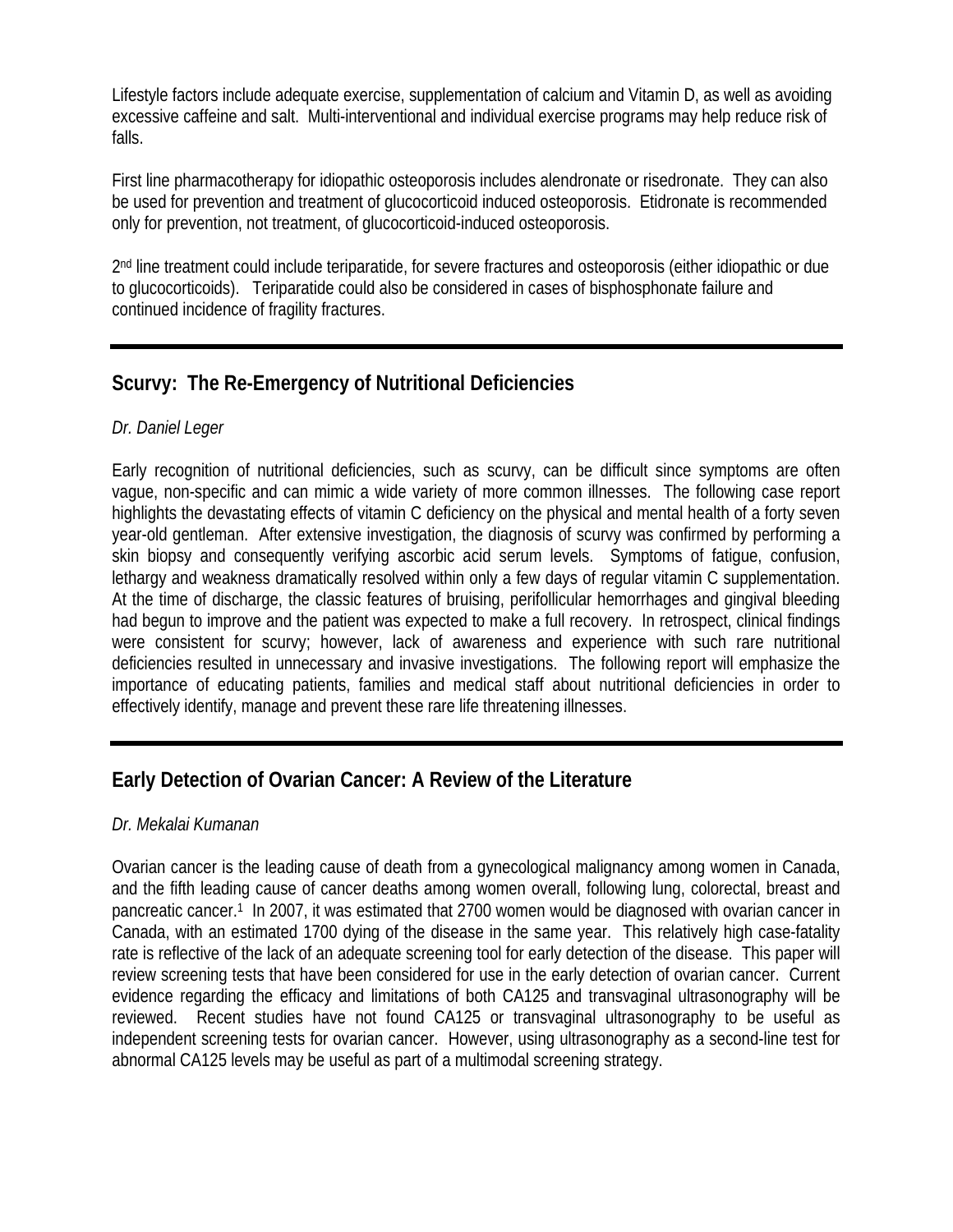Lifestyle factors include adequate exercise, supplementation of calcium and Vitamin D, as well as avoiding excessive caffeine and salt. Multi-interventional and individual exercise programs may help reduce risk of falls.

First line pharmacotherapy for idiopathic osteoporosis includes alendronate or risedronate. They can also be used for prevention and treatment of glucocorticoid induced osteoporosis. Etidronate is recommended only for prevention, not treatment, of glucocorticoid-induced osteoporosis.

2nd line treatment could include teriparatide, for severe fractures and osteoporosis (either idiopathic or due to glucocorticoids). Teriparatide could also be considered in cases of bisphosphonate failure and continued incidence of fragility fractures.

# **Scurvy: The Re-Emergency of Nutritional Deficiencies**

#### *Dr. Daniel Leger*

Early recognition of nutritional deficiencies, such as scurvy, can be difficult since symptoms are often vague, non-specific and can mimic a wide variety of more common illnesses. The following case report highlights the devastating effects of vitamin C deficiency on the physical and mental health of a forty seven year-old gentleman. After extensive investigation, the diagnosis of scurvy was confirmed by performing a skin biopsy and consequently verifying ascorbic acid serum levels. Symptoms of fatigue, confusion, lethargy and weakness dramatically resolved within only a few days of regular vitamin C supplementation. At the time of discharge, the classic features of bruising, perifollicular hemorrhages and gingival bleeding had begun to improve and the patient was expected to make a full recovery. In retrospect, clinical findings were consistent for scurvy; however, lack of awareness and experience with such rare nutritional deficiencies resulted in unnecessary and invasive investigations. The following report will emphasize the importance of educating patients, families and medical staff about nutritional deficiencies in order to effectively identify, manage and prevent these rare life threatening illnesses.

# **Early Detection of Ovarian Cancer: A Review of the Literature**

#### *Dr. Mekalai Kumanan*

Ovarian cancer is the leading cause of death from a gynecological malignancy among women in Canada, and the fifth leading cause of cancer deaths among women overall, following lung, colorectal, breast and pancreatic cancer.1 In 2007, it was estimated that 2700 women would be diagnosed with ovarian cancer in Canada, with an estimated 1700 dying of the disease in the same year. This relatively high case-fatality rate is reflective of the lack of an adequate screening tool for early detection of the disease. This paper will review screening tests that have been considered for use in the early detection of ovarian cancer. Current evidence regarding the efficacy and limitations of both CA125 and transvaginal ultrasonography will be reviewed. Recent studies have not found CA125 or transvaginal ultrasonography to be useful as independent screening tests for ovarian cancer. However, using ultrasonography as a second-line test for abnormal CA125 levels may be useful as part of a multimodal screening strategy.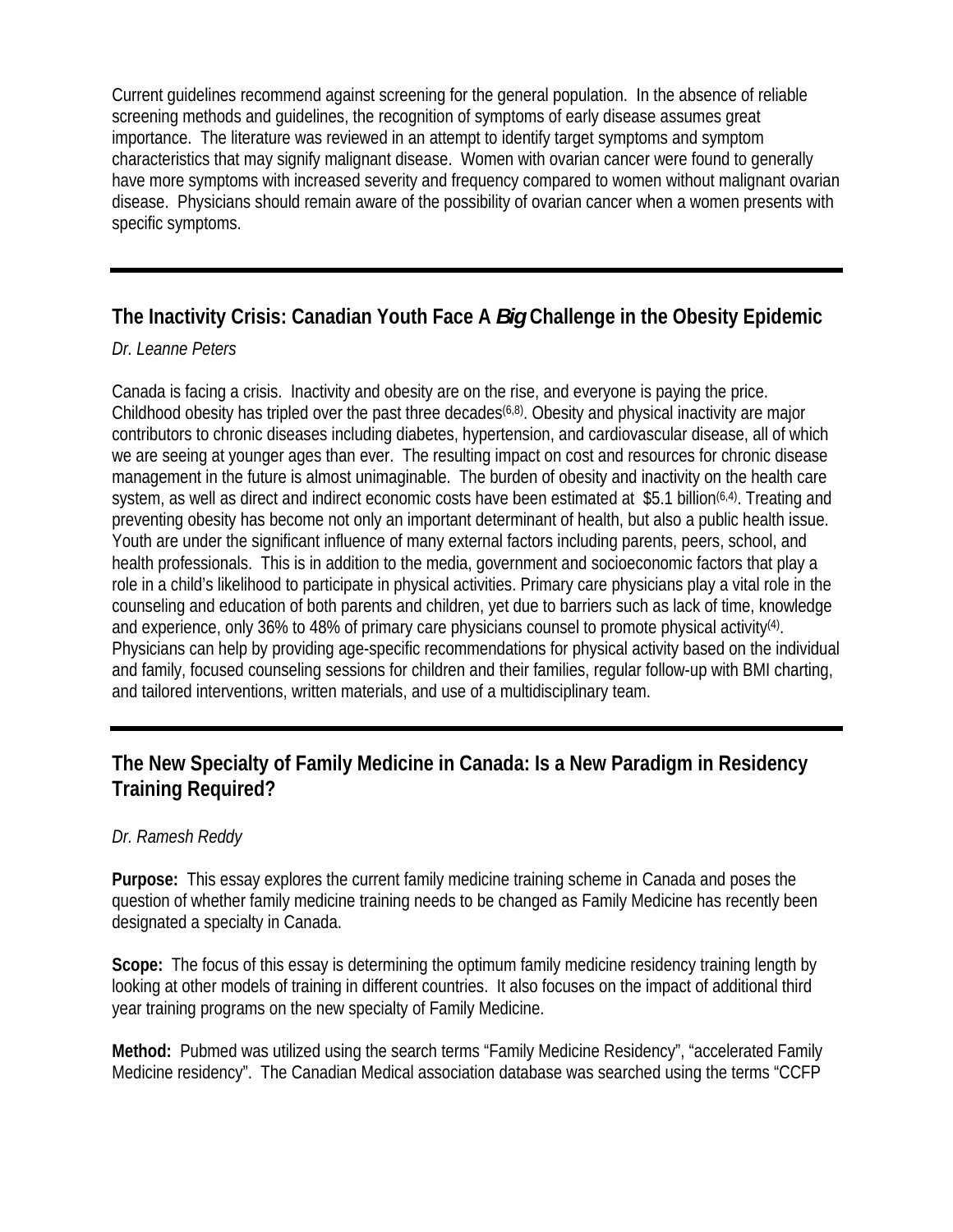Current guidelines recommend against screening for the general population. In the absence of reliable screening methods and guidelines, the recognition of symptoms of early disease assumes great importance. The literature was reviewed in an attempt to identify target symptoms and symptom characteristics that may signify malignant disease. Women with ovarian cancer were found to generally have more symptoms with increased severity and frequency compared to women without malignant ovarian disease. Physicians should remain aware of the possibility of ovarian cancer when a women presents with specific symptoms.

# **The Inactivity Crisis: Canadian Youth Face A** *Big* **Challenge in the Obesity Epidemic**

#### *Dr. Leanne Peters*

Canada is facing a crisis. Inactivity and obesity are on the rise, and everyone is paying the price. Childhood obesity has tripled over the past three decades<sup> $(6,8)$ </sup>. Obesity and physical inactivity are major contributors to chronic diseases including diabetes, hypertension, and cardiovascular disease, all of which we are seeing at younger ages than ever. The resulting impact on cost and resources for chronic disease management in the future is almost unimaginable. The burden of obesity and inactivity on the health care system, as well as direct and indirect economic costs have been estimated at \$5.1 billion<sup>(6,4)</sup>. Treating and preventing obesity has become not only an important determinant of health, but also a public health issue. Youth are under the significant influence of many external factors including parents, peers, school, and health professionals. This is in addition to the media, government and socioeconomic factors that play a role in a child's likelihood to participate in physical activities. Primary care physicians play a vital role in the counseling and education of both parents and children, yet due to barriers such as lack of time, knowledge and experience, only 36% to 48% of primary care physicians counsel to promote physical activity<sup>(4)</sup>. Physicians can help by providing age-specific recommendations for physical activity based on the individual and family, focused counseling sessions for children and their families, regular follow-up with BMI charting, and tailored interventions, written materials, and use of a multidisciplinary team.

# **The New Specialty of Family Medicine in Canada: Is a New Paradigm in Residency Training Required?**

### *Dr. Ramesh Reddy*

**Purpose:** This essay explores the current family medicine training scheme in Canada and poses the question of whether family medicine training needs to be changed as Family Medicine has recently been designated a specialty in Canada.

**Scope:** The focus of this essay is determining the optimum family medicine residency training length by looking at other models of training in different countries. It also focuses on the impact of additional third year training programs on the new specialty of Family Medicine.

**Method:** Pubmed was utilized using the search terms "Family Medicine Residency", "accelerated Family Medicine residency". The Canadian Medical association database was searched using the terms "CCFP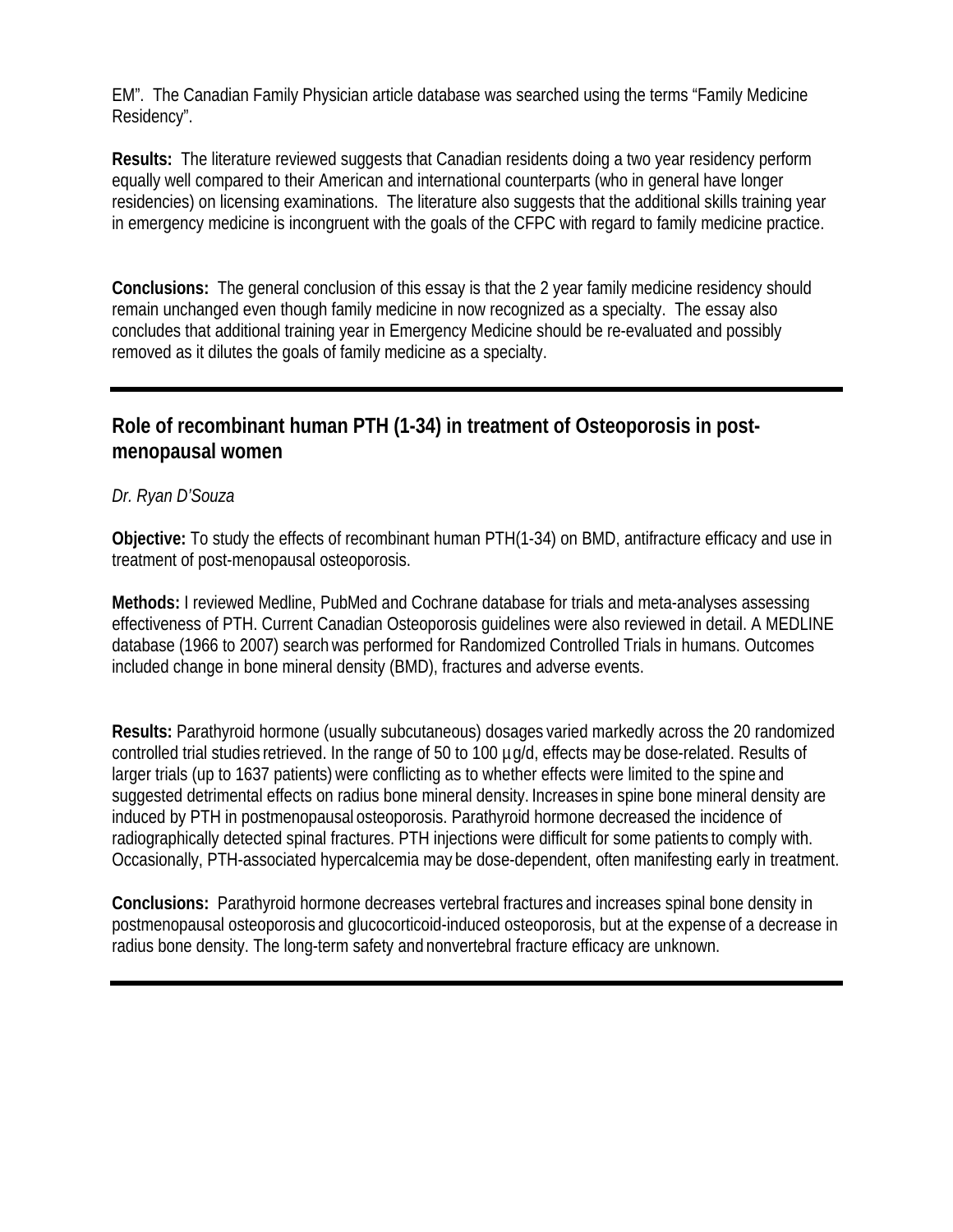EM". The Canadian Family Physician article database was searched using the terms "Family Medicine Residency".

**Results:** The literature reviewed suggests that Canadian residents doing a two year residency perform equally well compared to their American and international counterparts (who in general have longer residencies) on licensing examinations. The literature also suggests that the additional skills training year in emergency medicine is incongruent with the goals of the CFPC with regard to family medicine practice.

**Conclusions:** The general conclusion of this essay is that the 2 year family medicine residency should remain unchanged even though family medicine in now recognized as a specialty. The essay also concludes that additional training year in Emergency Medicine should be re-evaluated and possibly removed as it dilutes the goals of family medicine as a specialty.

# **Role of recombinant human PTH (1-34) in treatment of Osteoporosis in postmenopausal women**

#### *Dr. Ryan D'Souza*

**Objective:** To study the effects of recombinant human PTH(1-34) on BMD, antifracture efficacy and use in treatment of post-menopausal osteoporosis.

**Methods:** I reviewed Medline, PubMed and Cochrane database for trials and meta-analyses assessing effectiveness of PTH. Current Canadian Osteoporosis guidelines were also reviewed in detail. A MEDLINE database (1966 to 2007) searchwas performed for Randomized Controlled Trials in humans. Outcomes included change in bone mineral density (BMD), fractures and adverse events.

**Results:** Parathyroid hormone (usually subcutaneous) dosages varied markedly across the 20 randomized controlled trial studies retrieved. In the range of 50 to 100 µg/d, effects may be dose-related. Results of larger trials (up to 1637 patients) were conflicting as to whether effects were limited to the spine and suggested detrimental effects on radius bone mineral density. Increases in spine bone mineral density are induced by PTH in postmenopausal osteoporosis. Parathyroid hormone decreased the incidence of radiographically detected spinal fractures. PTH injections were difficult for some patients to comply with. Occasionally, PTH-associated hypercalcemia may be dose-dependent, often manifesting early in treatment.

**Conclusions:** Parathyroid hormone decreases vertebral fractures and increases spinal bone density in postmenopausal osteoporosis and glucocorticoid-induced osteoporosis, but at the expense of a decrease in radius bone density. The long-term safety and nonvertebral fracture efficacy are unknown.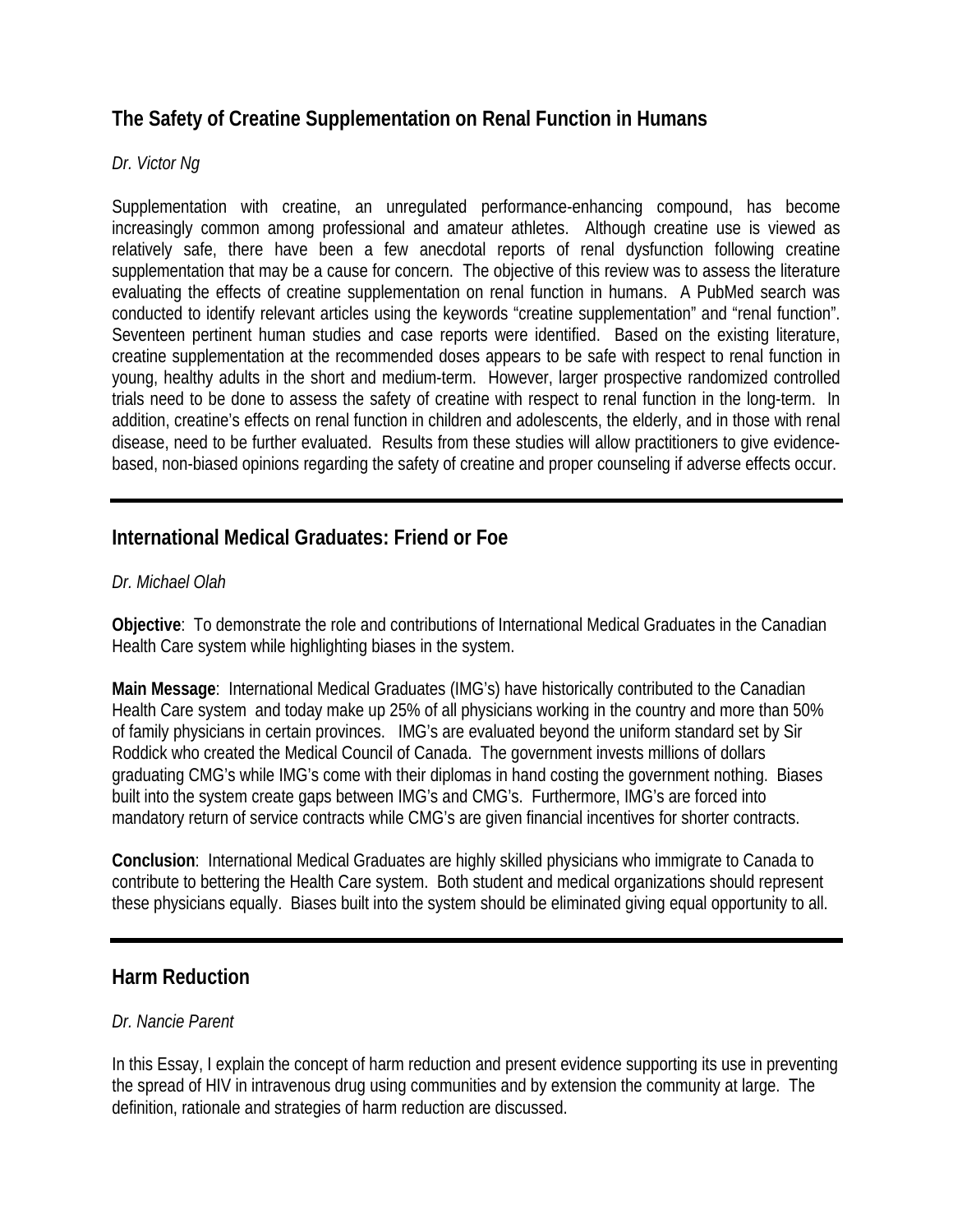# **The Safety of Creatine Supplementation on Renal Function in Humans**

#### *Dr. Victor Ng*

Supplementation with creatine, an unregulated performance-enhancing compound, has become increasingly common among professional and amateur athletes. Although creatine use is viewed as relatively safe, there have been a few anecdotal reports of renal dysfunction following creatine supplementation that may be a cause for concern. The objective of this review was to assess the literature evaluating the effects of creatine supplementation on renal function in humans. A PubMed search was conducted to identify relevant articles using the keywords "creatine supplementation" and "renal function". Seventeen pertinent human studies and case reports were identified. Based on the existing literature, creatine supplementation at the recommended doses appears to be safe with respect to renal function in young, healthy adults in the short and medium-term. However, larger prospective randomized controlled trials need to be done to assess the safety of creatine with respect to renal function in the long-term. In addition, creatine's effects on renal function in children and adolescents, the elderly, and in those with renal disease, need to be further evaluated. Results from these studies will allow practitioners to give evidencebased, non-biased opinions regarding the safety of creatine and proper counseling if adverse effects occur.

### **International Medical Graduates: Friend or Foe**

#### *Dr. Michael Olah*

**Objective**: To demonstrate the role and contributions of International Medical Graduates in the Canadian Health Care system while highlighting biases in the system.

**Main Message**: International Medical Graduates (IMG's) have historically contributed to the Canadian Health Care system and today make up 25% of all physicians working in the country and more than 50% of family physicians in certain provinces. IMG's are evaluated beyond the uniform standard set by Sir Roddick who created the Medical Council of Canada. The government invests millions of dollars graduating CMG's while IMG's come with their diplomas in hand costing the government nothing. Biases built into the system create gaps between IMG's and CMG's. Furthermore, IMG's are forced into mandatory return of service contracts while CMG's are given financial incentives for shorter contracts.

**Conclusion**: International Medical Graduates are highly skilled physicians who immigrate to Canada to contribute to bettering the Health Care system. Both student and medical organizations should represent these physicians equally. Biases built into the system should be eliminated giving equal opportunity to all.

#### **Harm Reduction**

#### *Dr. Nancie Parent*

In this Essay, I explain the concept of harm reduction and present evidence supporting its use in preventing the spread of HIV in intravenous drug using communities and by extension the community at large. The definition, rationale and strategies of harm reduction are discussed.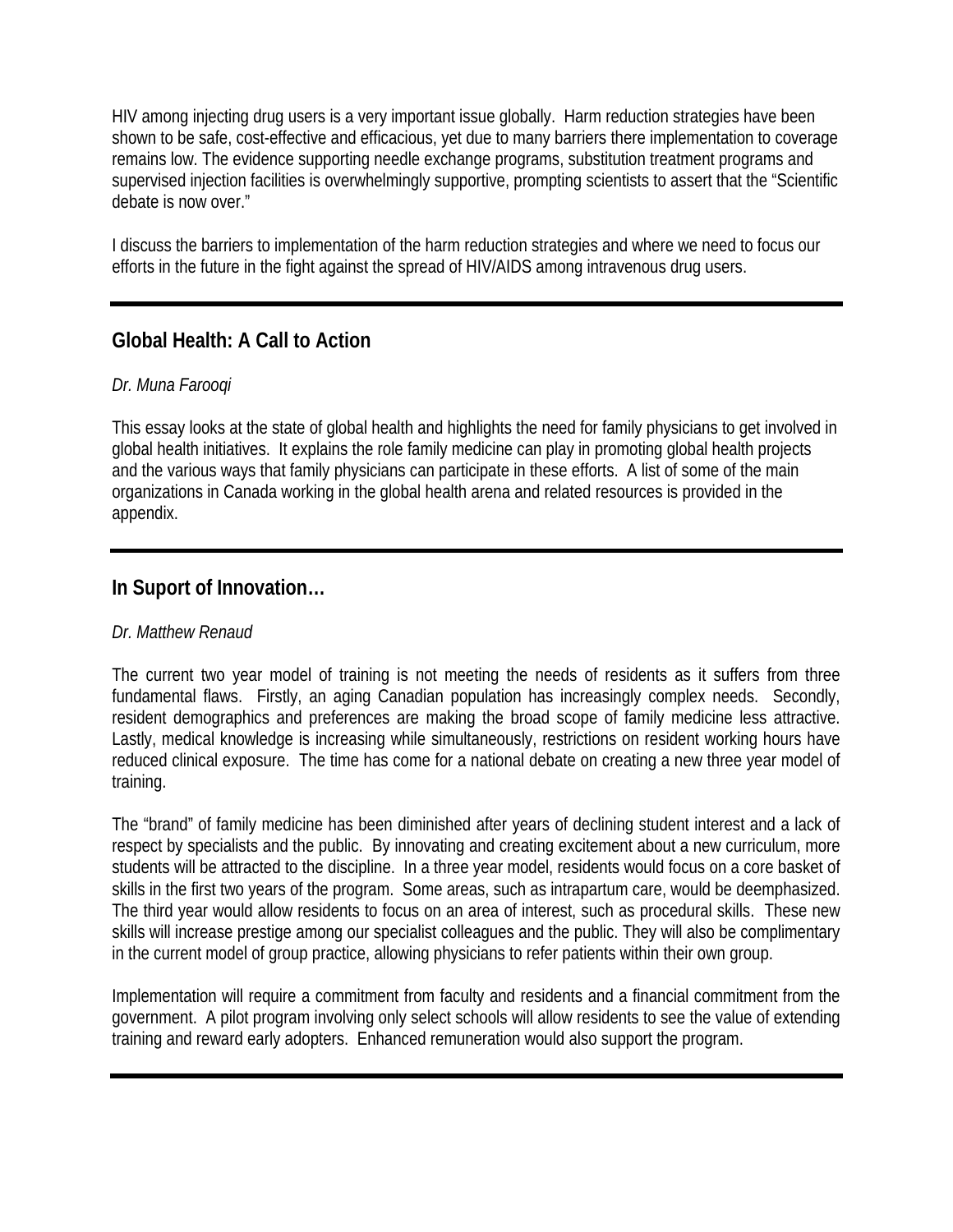HIV among injecting drug users is a very important issue globally. Harm reduction strategies have been shown to be safe, cost-effective and efficacious, yet due to many barriers there implementation to coverage remains low. The evidence supporting needle exchange programs, substitution treatment programs and supervised injection facilities is overwhelmingly supportive, prompting scientists to assert that the "Scientific debate is now over."

I discuss the barriers to implementation of the harm reduction strategies and where we need to focus our efforts in the future in the fight against the spread of HIV/AIDS among intravenous drug users.

# **Global Health: A Call to Action**

#### *Dr. Muna Farooqi*

This essay looks at the state of global health and highlights the need for family physicians to get involved in global health initiatives. It explains the role family medicine can play in promoting global health projects and the various ways that family physicians can participate in these efforts. A list of some of the main organizations in Canada working in the global health arena and related resources is provided in the appendix.

#### **In Suport of Innovation…**

#### *Dr. Matthew Renaud*

The current two year model of training is not meeting the needs of residents as it suffers from three fundamental flaws. Firstly, an aging Canadian population has increasingly complex needs. Secondly, resident demographics and preferences are making the broad scope of family medicine less attractive. Lastly, medical knowledge is increasing while simultaneously, restrictions on resident working hours have reduced clinical exposure. The time has come for a national debate on creating a new three year model of training.

The "brand" of family medicine has been diminished after years of declining student interest and a lack of respect by specialists and the public. By innovating and creating excitement about a new curriculum, more students will be attracted to the discipline. In a three year model, residents would focus on a core basket of skills in the first two years of the program. Some areas, such as intrapartum care, would be deemphasized. The third year would allow residents to focus on an area of interest, such as procedural skills. These new skills will increase prestige among our specialist colleagues and the public. They will also be complimentary in the current model of group practice, allowing physicians to refer patients within their own group.

Implementation will require a commitment from faculty and residents and a financial commitment from the government. A pilot program involving only select schools will allow residents to see the value of extending training and reward early adopters. Enhanced remuneration would also support the program.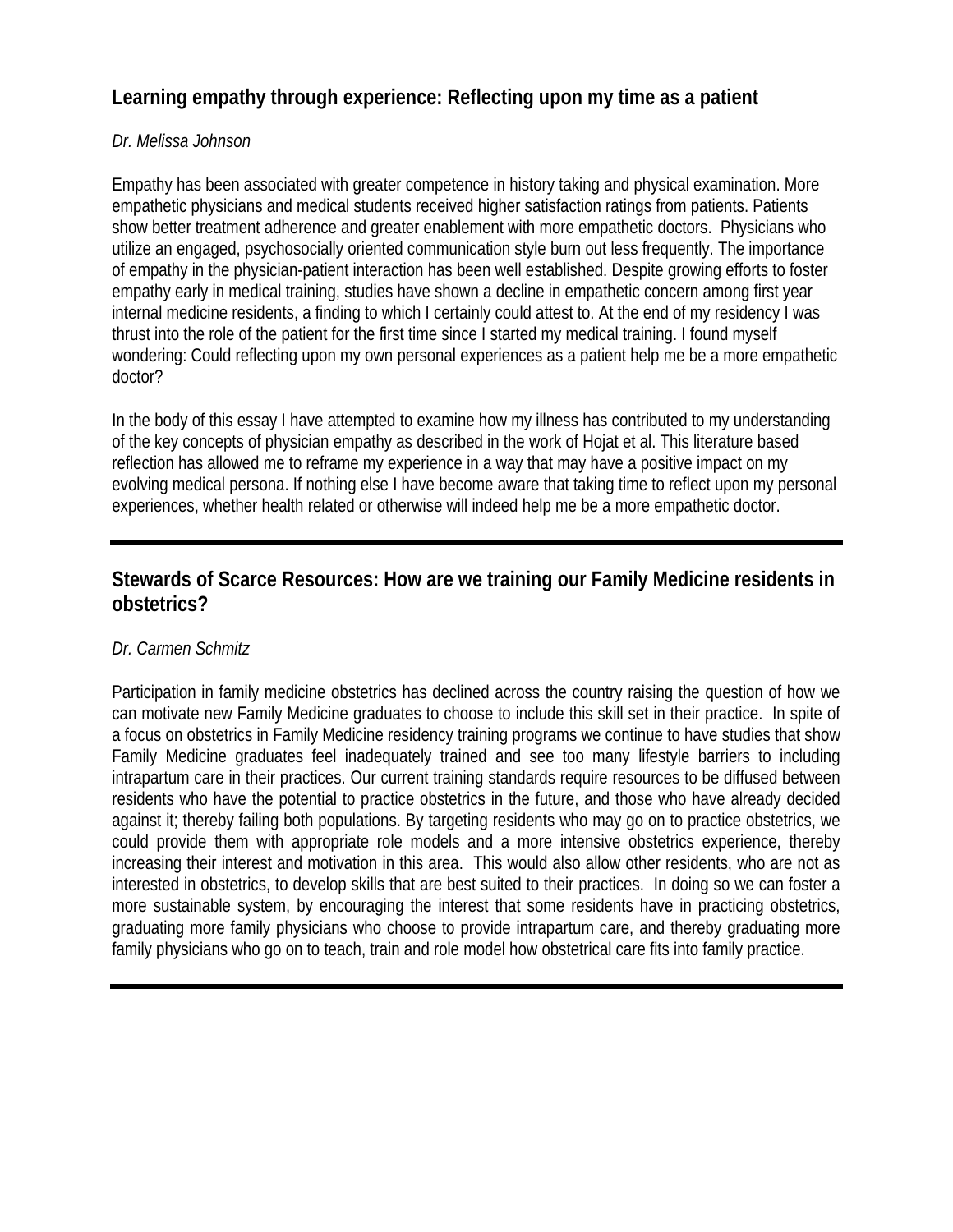# **Learning empathy through experience: Reflecting upon my time as a patient**

#### *Dr. Melissa Johnson*

Empathy has been associated with greater competence in history taking and physical examination. More empathetic physicians and medical students received higher satisfaction ratings from patients. Patients show better treatment adherence and greater enablement with more empathetic doctors. Physicians who utilize an engaged, psychosocially oriented communication style burn out less frequently. The importance of empathy in the physician-patient interaction has been well established. Despite growing efforts to foster empathy early in medical training, studies have shown a decline in empathetic concern among first year internal medicine residents, a finding to which I certainly could attest to. At the end of my residency I was thrust into the role of the patient for the first time since I started my medical training. I found myself wondering: Could reflecting upon my own personal experiences as a patient help me be a more empathetic doctor?

In the body of this essay I have attempted to examine how my illness has contributed to my understanding of the key concepts of physician empathy as described in the work of Hojat et al. This literature based reflection has allowed me to reframe my experience in a way that may have a positive impact on my evolving medical persona. If nothing else I have become aware that taking time to reflect upon my personal experiences, whether health related or otherwise will indeed help me be a more empathetic doctor.

### **Stewards of Scarce Resources: How are we training our Family Medicine residents in obstetrics?**

#### *Dr. Carmen Schmitz*

Participation in family medicine obstetrics has declined across the country raising the question of how we can motivate new Family Medicine graduates to choose to include this skill set in their practice. In spite of a focus on obstetrics in Family Medicine residency training programs we continue to have studies that show Family Medicine graduates feel inadequately trained and see too many lifestyle barriers to including intrapartum care in their practices. Our current training standards require resources to be diffused between residents who have the potential to practice obstetrics in the future, and those who have already decided against it; thereby failing both populations. By targeting residents who may go on to practice obstetrics, we could provide them with appropriate role models and a more intensive obstetrics experience, thereby increasing their interest and motivation in this area. This would also allow other residents, who are not as interested in obstetrics, to develop skills that are best suited to their practices. In doing so we can foster a more sustainable system, by encouraging the interest that some residents have in practicing obstetrics, graduating more family physicians who choose to provide intrapartum care, and thereby graduating more family physicians who go on to teach, train and role model how obstetrical care fits into family practice.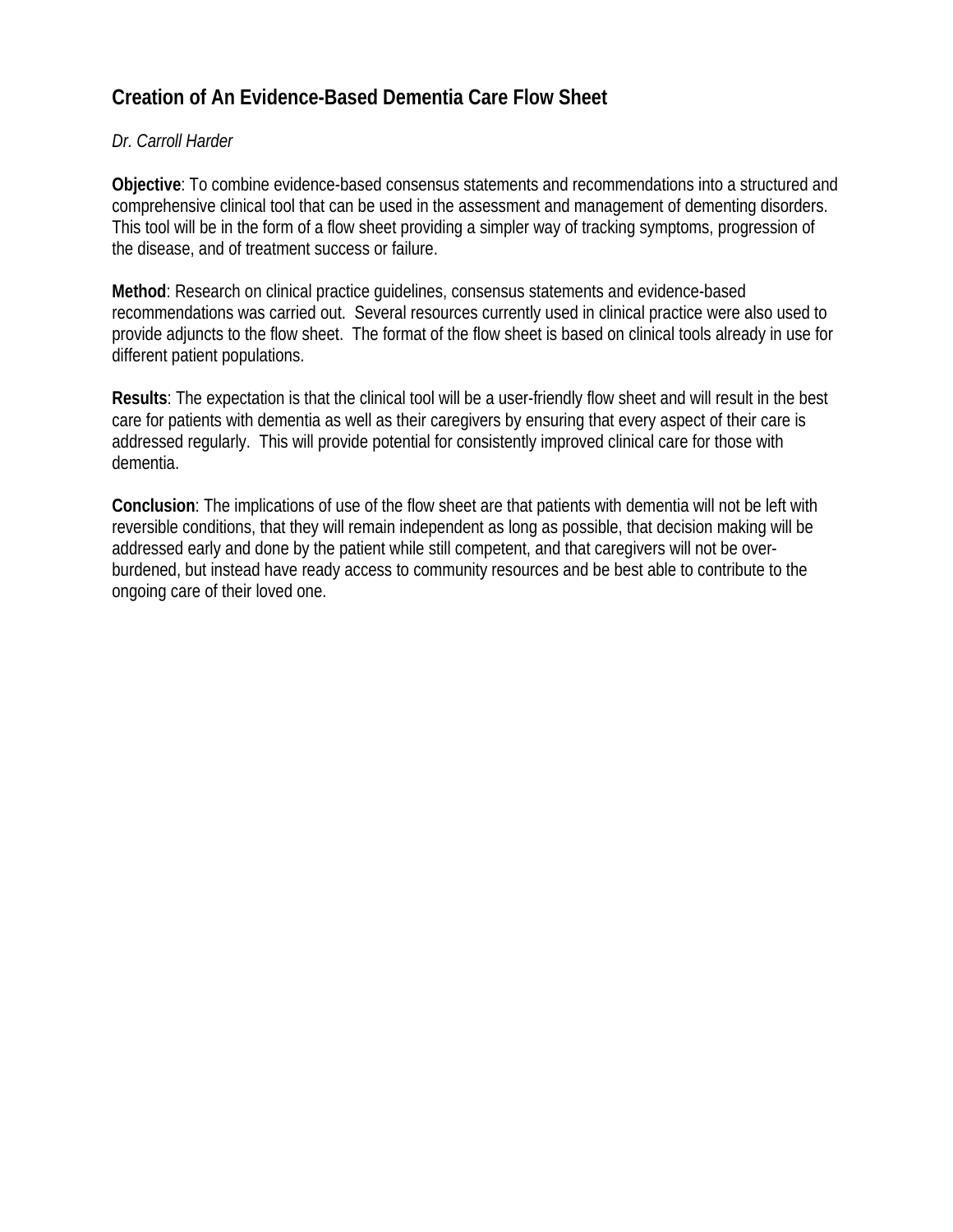# **Creation of An Evidence-Based Dementia Care Flow Sheet**

#### *Dr. Carroll Harder*

**Objective**: To combine evidence-based consensus statements and recommendations into a structured and comprehensive clinical tool that can be used in the assessment and management of dementing disorders. This tool will be in the form of a flow sheet providing a simpler way of tracking symptoms, progression of the disease, and of treatment success or failure.

**Method**: Research on clinical practice guidelines, consensus statements and evidence-based recommendations was carried out. Several resources currently used in clinical practice were also used to provide adjuncts to the flow sheet. The format of the flow sheet is based on clinical tools already in use for different patient populations.

**Results**: The expectation is that the clinical tool will be a user-friendly flow sheet and will result in the best care for patients with dementia as well as their caregivers by ensuring that every aspect of their care is addressed regularly. This will provide potential for consistently improved clinical care for those with dementia.

**Conclusion**: The implications of use of the flow sheet are that patients with dementia will not be left with reversible conditions, that they will remain independent as long as possible, that decision making will be addressed early and done by the patient while still competent, and that caregivers will not be overburdened, but instead have ready access to community resources and be best able to contribute to the ongoing care of their loved one.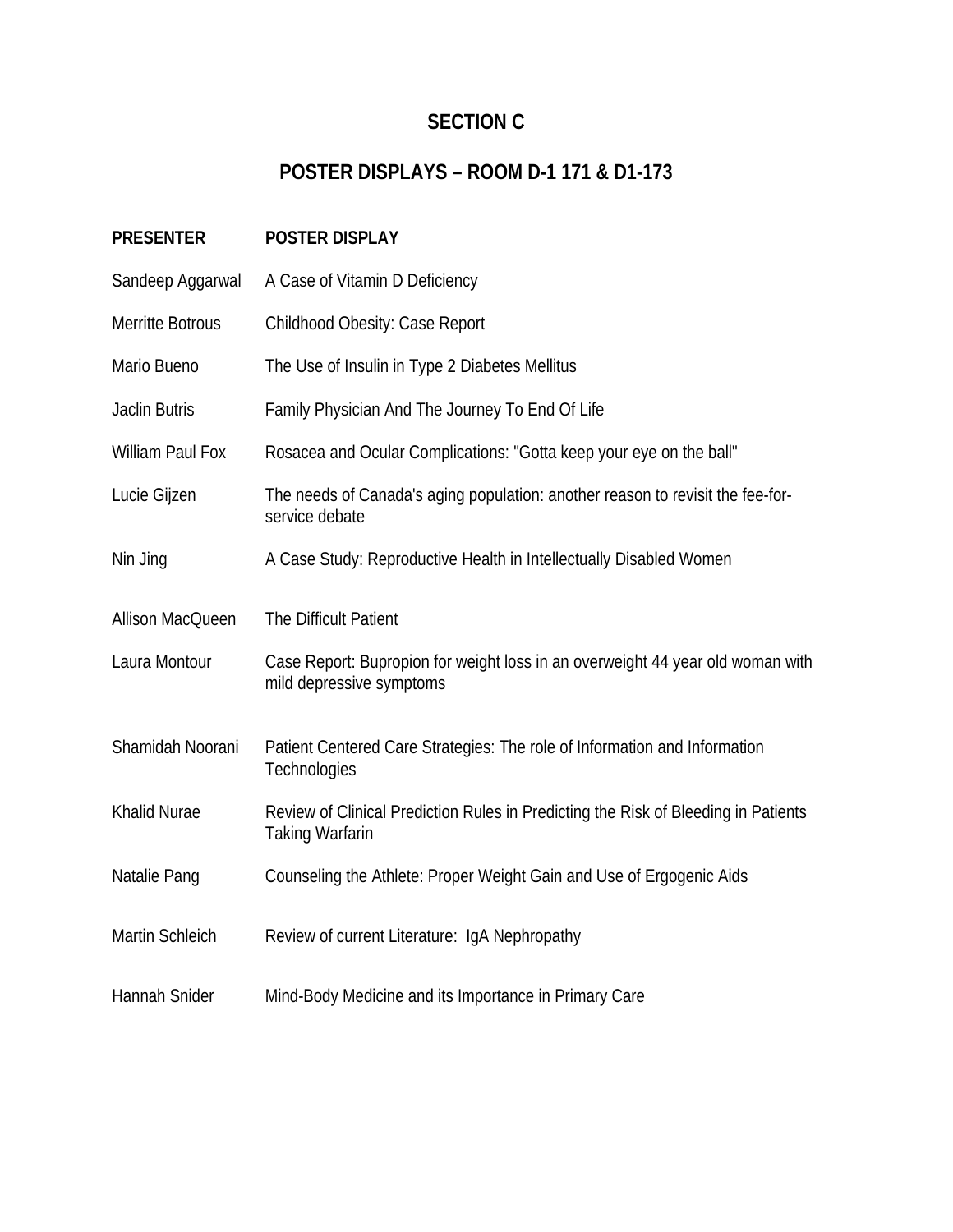# **SECTION C**

# **POSTER DISPLAYS – ROOM D-1 171 & D1-173**

| <b>PRESENTER</b>        | POSTER DISPLAY                                                                                               |
|-------------------------|--------------------------------------------------------------------------------------------------------------|
| Sandeep Aggarwal        | A Case of Vitamin D Deficiency                                                                               |
| Merritte Botrous        | Childhood Obesity: Case Report                                                                               |
| Mario Bueno             | The Use of Insulin in Type 2 Diabetes Mellitus                                                               |
| <b>Jaclin Butris</b>    | Family Physician And The Journey To End Of Life                                                              |
| <b>William Paul Fox</b> | Rosacea and Ocular Complications: "Gotta keep your eye on the ball"                                          |
| Lucie Gijzen            | The needs of Canada's aging population: another reason to revisit the fee-for-<br>service debate             |
| Nin Jing                | A Case Study: Reproductive Health in Intellectually Disabled Women                                           |
| Allison MacQueen        | The Difficult Patient                                                                                        |
| Laura Montour           | Case Report: Bupropion for weight loss in an overweight 44 year old woman with<br>mild depressive symptoms   |
| Shamidah Noorani        | Patient Centered Care Strategies: The role of Information and Information<br>Technologies                    |
| Khalid Nurae            | Review of Clinical Prediction Rules in Predicting the Risk of Bleeding in Patients<br><b>Taking Warfarin</b> |
| Natalie Pang            | Counseling the Athlete: Proper Weight Gain and Use of Ergogenic Aids                                         |
| Martin Schleich         | Review of current Literature: IgA Nephropathy                                                                |
| Hannah Snider           | Mind-Body Medicine and its Importance in Primary Care                                                        |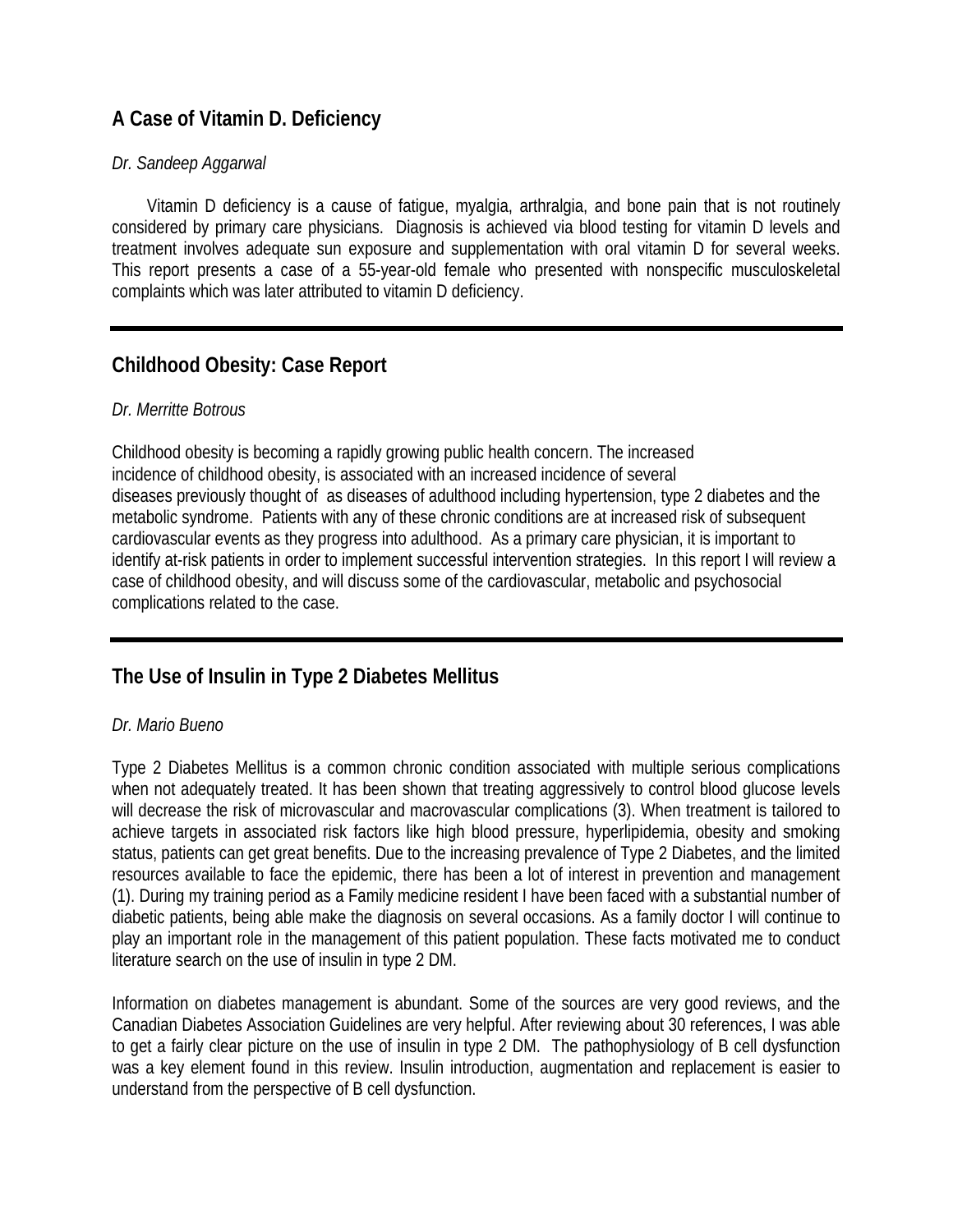# **A Case of Vitamin D. Deficiency**

#### *Dr. Sandeep Aggarwal*

 Vitamin D deficiency is a cause of fatigue, myalgia, arthralgia, and bone pain that is not routinely considered by primary care physicians. Diagnosis is achieved via blood testing for vitamin D levels and treatment involves adequate sun exposure and supplementation with oral vitamin D for several weeks. This report presents a case of a 55-year-old female who presented with nonspecific musculoskeletal complaints which was later attributed to vitamin D deficiency.

# **Childhood Obesity: Case Report**

#### *Dr. Merritte Botrous*

Childhood obesity is becoming a rapidly growing public health concern. The increased incidence of childhood obesity, is associated with an increased incidence of several diseases previously thought of as diseases of adulthood including hypertension, type 2 diabetes and the metabolic syndrome. Patients with any of these chronic conditions are at increased risk of subsequent cardiovascular events as they progress into adulthood. As a primary care physician, it is important to identify at-risk patients in order to implement successful intervention strategies. In this report I will review a case of childhood obesity, and will discuss some of the cardiovascular, metabolic and psychosocial complications related to the case.

# **The Use of Insulin in Type 2 Diabetes Mellitus**

#### *Dr. Mario Bueno*

Type 2 Diabetes Mellitus is a common chronic condition associated with multiple serious complications when not adequately treated. It has been shown that treating aggressively to control blood glucose levels will decrease the risk of microvascular and macrovascular complications (3). When treatment is tailored to achieve targets in associated risk factors like high blood pressure, hyperlipidemia, obesity and smoking status, patients can get great benefits. Due to the increasing prevalence of Type 2 Diabetes, and the limited resources available to face the epidemic, there has been a lot of interest in prevention and management (1). During my training period as a Family medicine resident I have been faced with a substantial number of diabetic patients, being able make the diagnosis on several occasions. As a family doctor I will continue to play an important role in the management of this patient population. These facts motivated me to conduct literature search on the use of insulin in type 2 DM.

Information on diabetes management is abundant. Some of the sources are very good reviews, and the Canadian Diabetes Association Guidelines are very helpful. After reviewing about 30 references, I was able to get a fairly clear picture on the use of insulin in type 2 DM. The pathophysiology of B cell dysfunction was a key element found in this review. Insulin introduction, augmentation and replacement is easier to understand from the perspective of B cell dysfunction.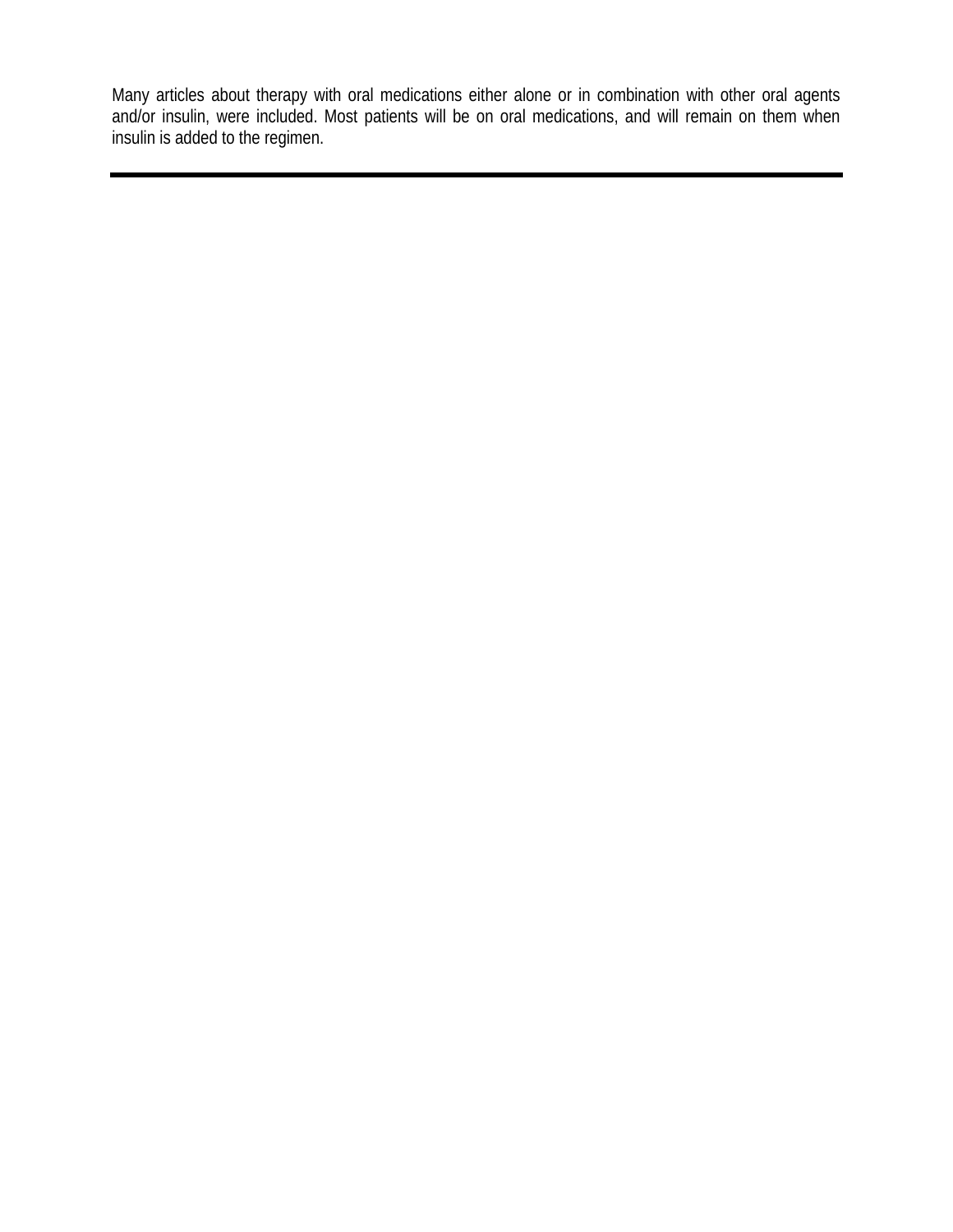Many articles about therapy with oral medications either alone or in combination with other oral agents and/or insulin, were included. Most patients will be on oral medications, and will remain on them when insulin is added to the regimen.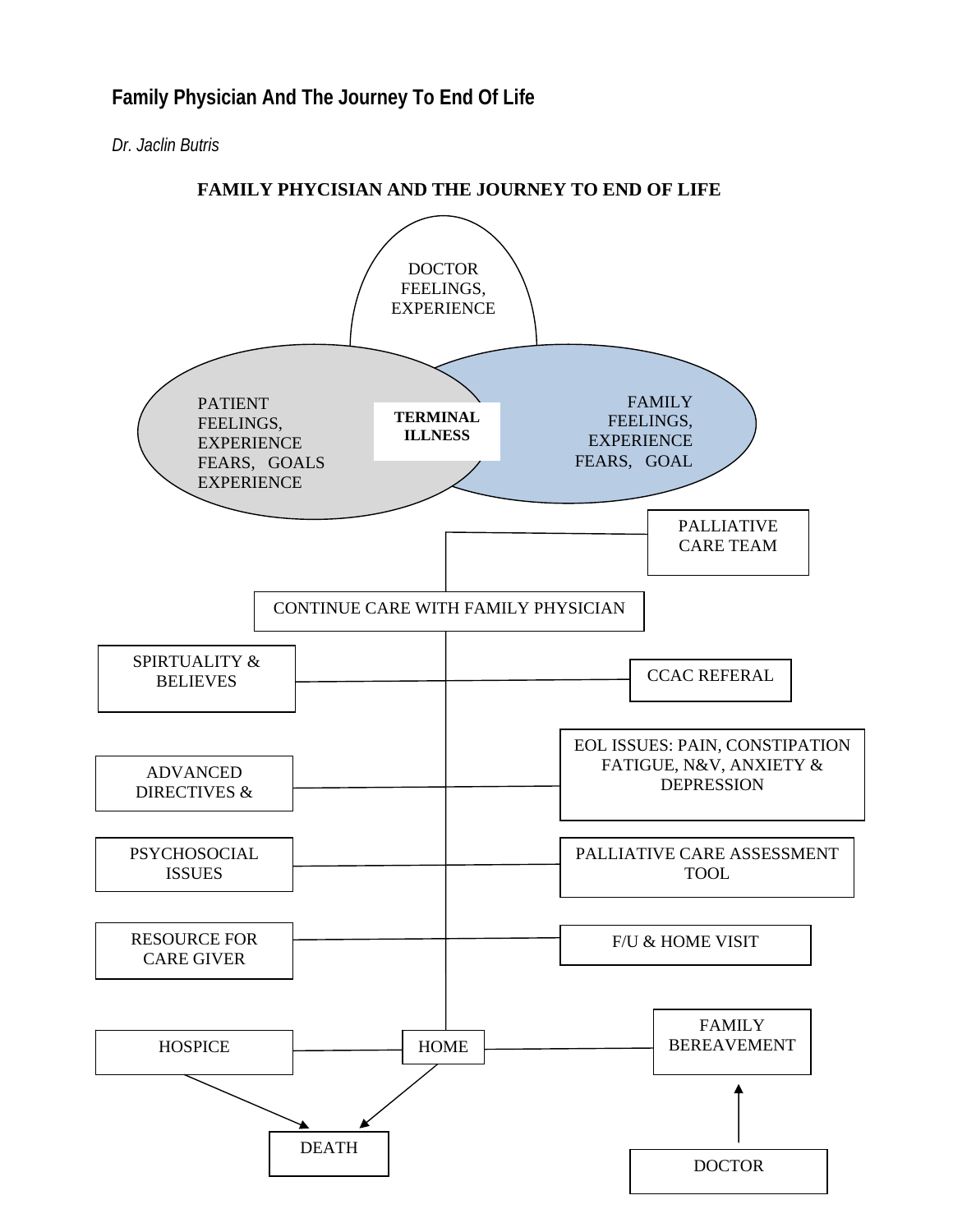*Dr. Jaclin Butris* 

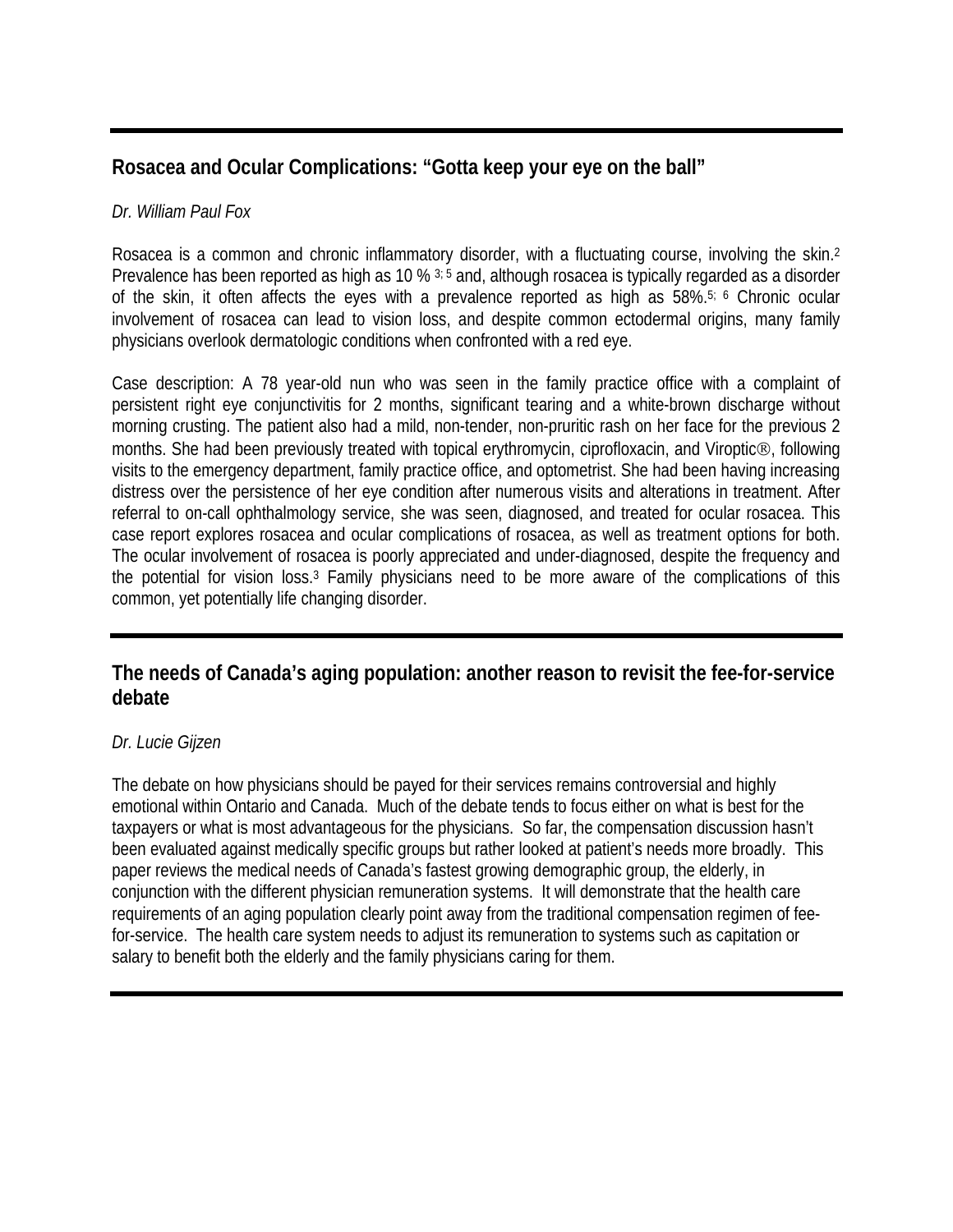### **Rosacea and Ocular Complications: "Gotta keep your eye on the ball"**

#### *Dr. William Paul Fox*

Rosacea is a common and chronic inflammatory disorder, with a fluctuating course, involving the skin.2 Prevalence has been reported as high as 10 % 3; 5 and, although rosacea is typically regarded as a disorder of the skin, it often affects the eyes with a prevalence reported as high as 58%.5; 6 Chronic ocular involvement of rosacea can lead to vision loss, and despite common ectodermal origins, many family physicians overlook dermatologic conditions when confronted with a red eye.

Case description: A 78 year-old nun who was seen in the family practice office with a complaint of persistent right eye conjunctivitis for 2 months, significant tearing and a white-brown discharge without morning crusting. The patient also had a mild, non-tender, non-pruritic rash on her face for the previous 2 months. She had been previously treated with topical erythromycin, ciprofloxacin, and Viroptic®, following visits to the emergency department, family practice office, and optometrist. She had been having increasing distress over the persistence of her eye condition after numerous visits and alterations in treatment. After referral to on-call ophthalmology service, she was seen, diagnosed, and treated for ocular rosacea. This case report explores rosacea and ocular complications of rosacea, as well as treatment options for both. The ocular involvement of rosacea is poorly appreciated and under-diagnosed, despite the frequency and the potential for vision loss.3 Family physicians need to be more aware of the complications of this common, yet potentially life changing disorder.

### **The needs of Canada's aging population: another reason to revisit the fee-for-service debate**

#### *Dr. Lucie Gijzen*

The debate on how physicians should be payed for their services remains controversial and highly emotional within Ontario and Canada. Much of the debate tends to focus either on what is best for the taxpayers or what is most advantageous for the physicians. So far, the compensation discussion hasn't been evaluated against medically specific groups but rather looked at patient's needs more broadly. This paper reviews the medical needs of Canada's fastest growing demographic group, the elderly, in conjunction with the different physician remuneration systems. It will demonstrate that the health care requirements of an aging population clearly point away from the traditional compensation regimen of feefor-service. The health care system needs to adjust its remuneration to systems such as capitation or salary to benefit both the elderly and the family physicians caring for them.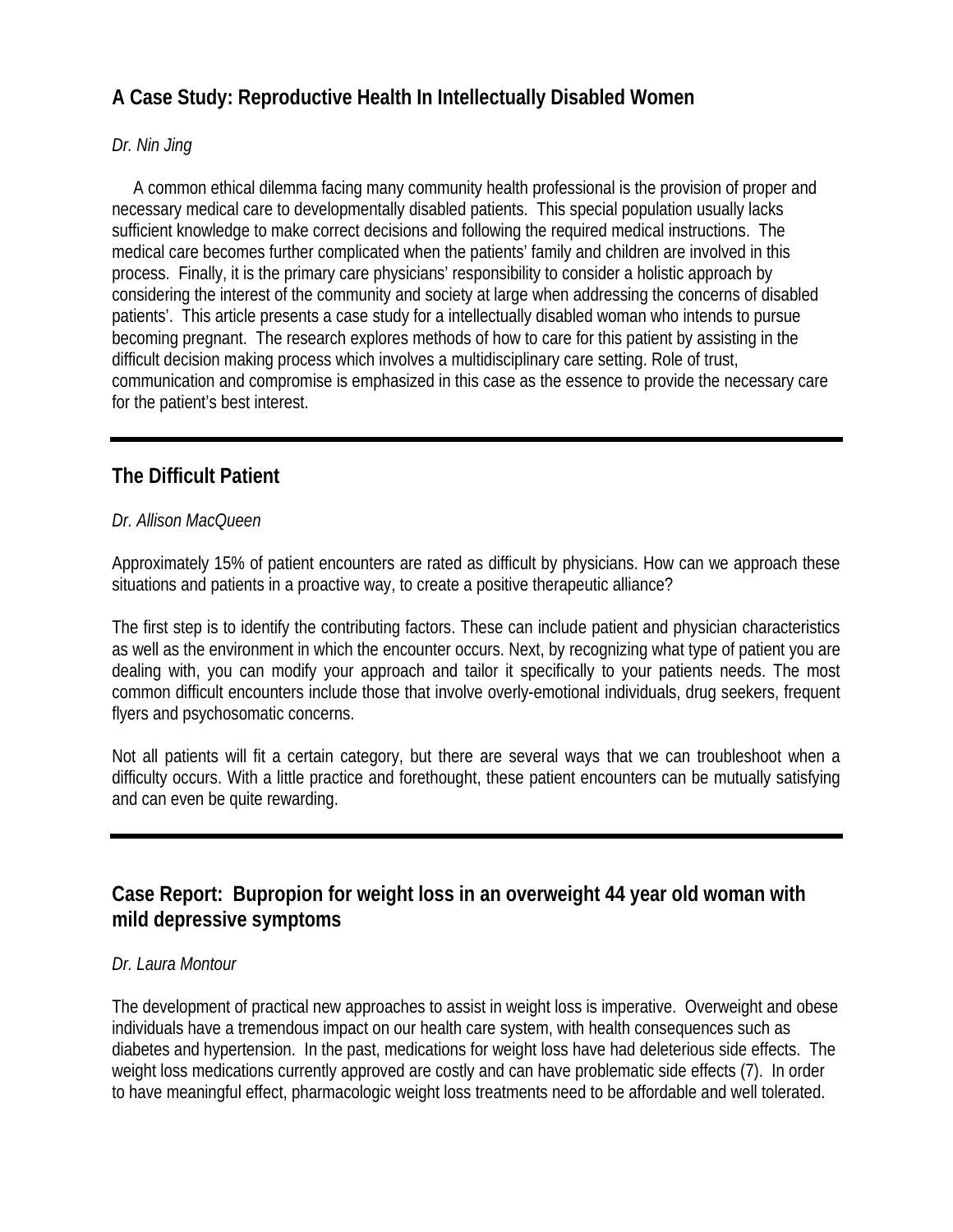# **A Case Study: Reproductive Health In Intellectually Disabled Women**

#### *Dr. Nin Jing*

 A common ethical dilemma facing many community health professional is the provision of proper and necessary medical care to developmentally disabled patients. This special population usually lacks sufficient knowledge to make correct decisions and following the required medical instructions. The medical care becomes further complicated when the patients' family and children are involved in this process. Finally, it is the primary care physicians' responsibility to consider a holistic approach by considering the interest of the community and society at large when addressing the concerns of disabled patients'. This article presents a case study for a intellectually disabled woman who intends to pursue becoming pregnant. The research explores methods of how to care for this patient by assisting in the difficult decision making process which involves a multidisciplinary care setting. Role of trust, communication and compromise is emphasized in this case as the essence to provide the necessary care for the patient's best interest.

# **The Difficult Patient**

#### *Dr. Allison MacQueen*

Approximately 15% of patient encounters are rated as difficult by physicians. How can we approach these situations and patients in a proactive way, to create a positive therapeutic alliance?

The first step is to identify the contributing factors. These can include patient and physician characteristics as well as the environment in which the encounter occurs. Next, by recognizing what type of patient you are dealing with, you can modify your approach and tailor it specifically to your patients needs. The most common difficult encounters include those that involve overly-emotional individuals, drug seekers, frequent flyers and psychosomatic concerns.

Not all patients will fit a certain category, but there are several ways that we can troubleshoot when a difficulty occurs. With a little practice and forethought, these patient encounters can be mutually satisfying and can even be quite rewarding.

# **Case Report: Bupropion for weight loss in an overweight 44 year old woman with mild depressive symptoms**

#### *Dr. Laura Montour*

The development of practical new approaches to assist in weight loss is imperative. Overweight and obese individuals have a tremendous impact on our health care system, with health consequences such as diabetes and hypertension. In the past, medications for weight loss have had deleterious side effects. The weight loss medications currently approved are costly and can have problematic side effects (7). In order to have meaningful effect, pharmacologic weight loss treatments need to be affordable and well tolerated.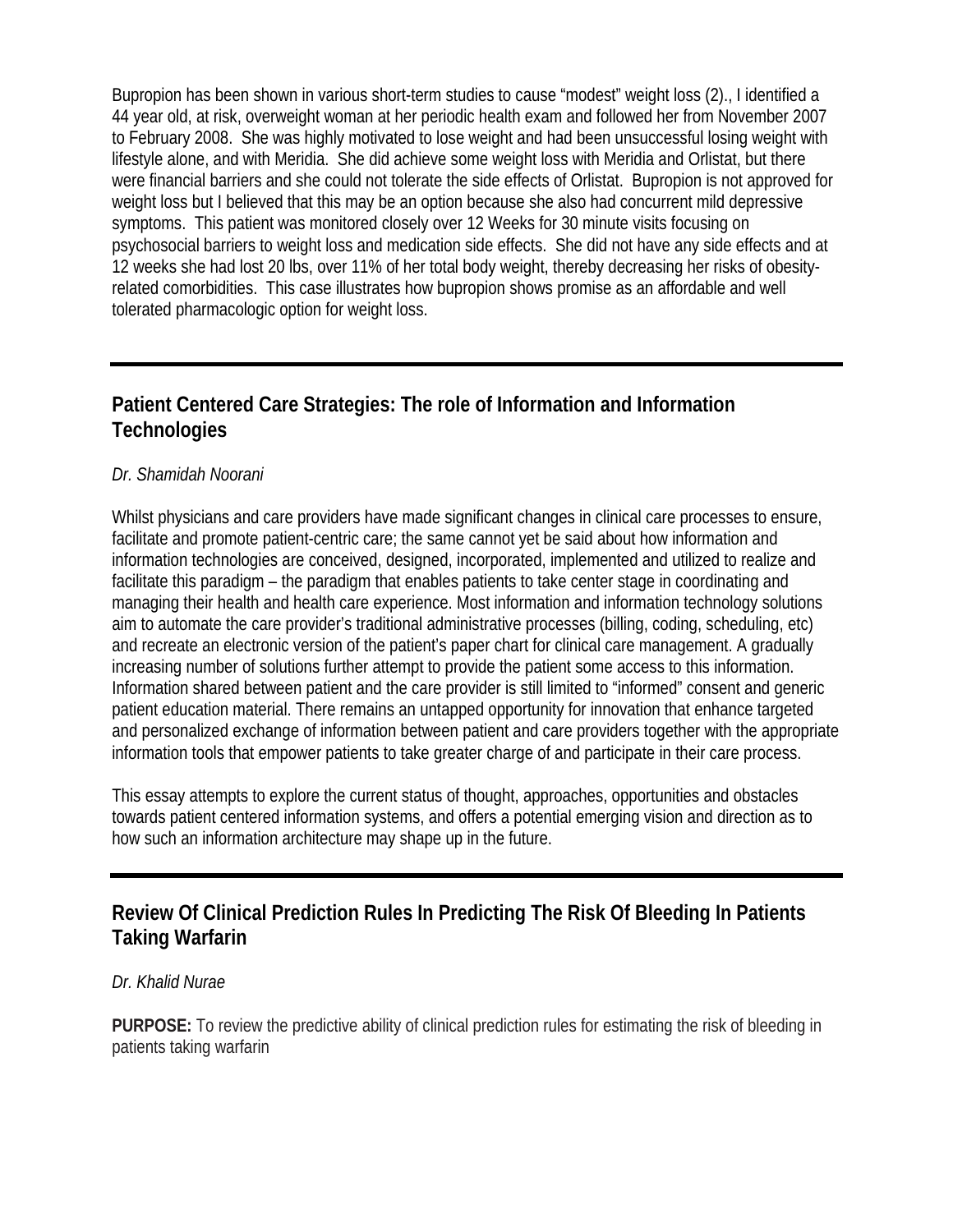Bupropion has been shown in various short-term studies to cause "modest" weight loss (2)., I identified a 44 year old, at risk, overweight woman at her periodic health exam and followed her from November 2007 to February 2008. She was highly motivated to lose weight and had been unsuccessful losing weight with lifestyle alone, and with Meridia. She did achieve some weight loss with Meridia and Orlistat, but there were financial barriers and she could not tolerate the side effects of Orlistat. Bupropion is not approved for weight loss but I believed that this may be an option because she also had concurrent mild depressive symptoms. This patient was monitored closely over 12 Weeks for 30 minute visits focusing on psychosocial barriers to weight loss and medication side effects. She did not have any side effects and at 12 weeks she had lost 20 lbs, over 11% of her total body weight, thereby decreasing her risks of obesityrelated comorbidities. This case illustrates how bupropion shows promise as an affordable and well tolerated pharmacologic option for weight loss.

# **Patient Centered Care Strategies: The role of Information and Information Technologies**

#### *Dr. Shamidah Noorani*

Whilst physicians and care providers have made significant changes in clinical care processes to ensure, facilitate and promote patient-centric care; the same cannot yet be said about how information and information technologies are conceived, designed, incorporated, implemented and utilized to realize and facilitate this paradigm – the paradigm that enables patients to take center stage in coordinating and managing their health and health care experience. Most information and information technology solutions aim to automate the care provider's traditional administrative processes (billing, coding, scheduling, etc) and recreate an electronic version of the patient's paper chart for clinical care management. A gradually increasing number of solutions further attempt to provide the patient some access to this information. Information shared between patient and the care provider is still limited to "informed" consent and generic patient education material. There remains an untapped opportunity for innovation that enhance targeted and personalized exchange of information between patient and care providers together with the appropriate information tools that empower patients to take greater charge of and participate in their care process.

This essay attempts to explore the current status of thought, approaches, opportunities and obstacles towards patient centered information systems, and offers a potential emerging vision and direction as to how such an information architecture may shape up in the future.

### **Review Of Clinical Prediction Rules In Predicting The Risk Of Bleeding In Patients Taking Warfarin**

#### *Dr. Khalid Nurae*

**PURPOSE:** To review the predictive ability of clinical prediction rules for estimating the risk of bleeding in patients taking warfarin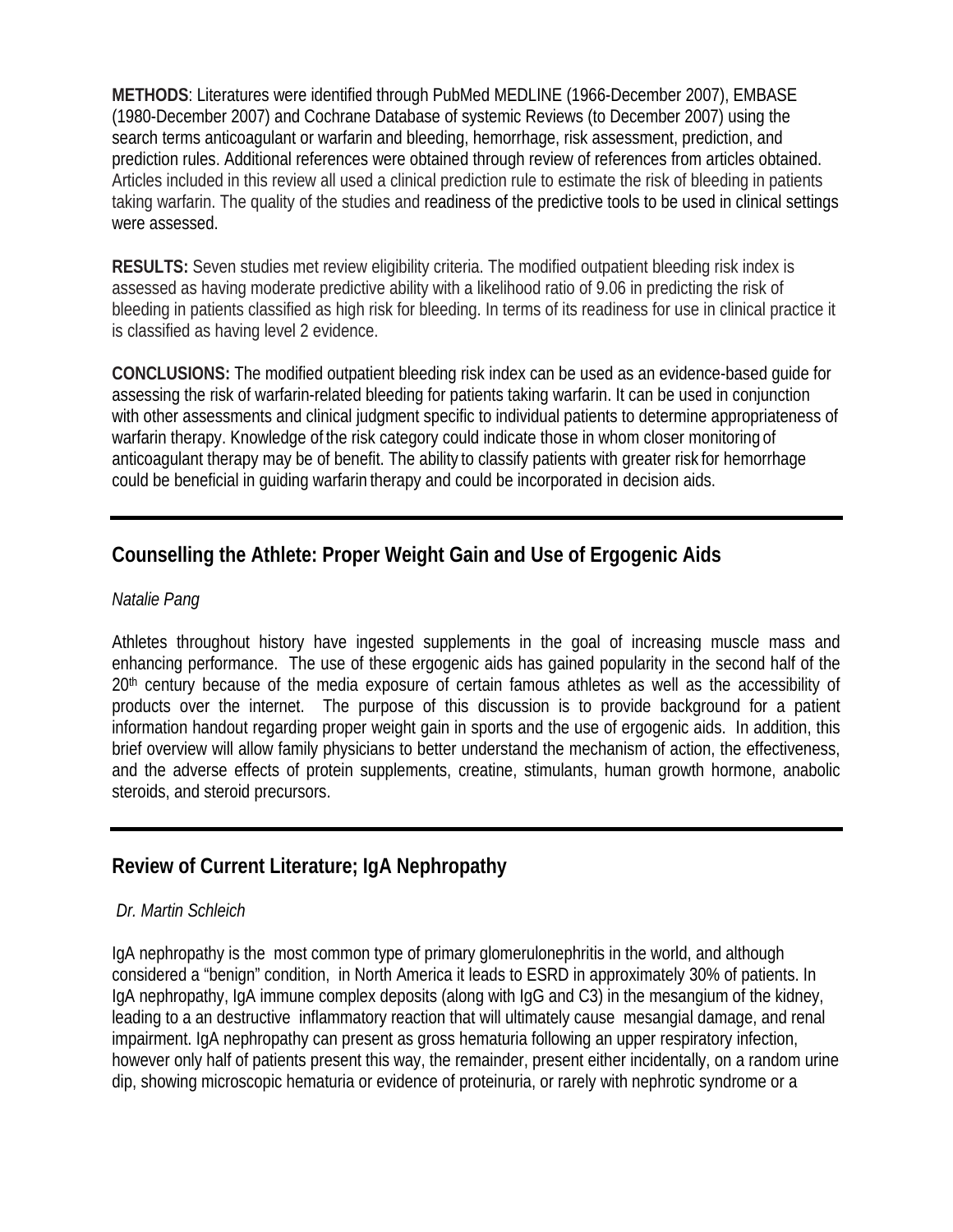**METHODS**: Literatures were identified through PubMed MEDLINE (1966-December 2007), EMBASE (1980-December 2007) and Cochrane Database of systemic Reviews (to December 2007) using the search terms anticoagulant or warfarin and bleeding, hemorrhage, risk assessment, prediction, and prediction rules. Additional references were obtained through review of references from articles obtained. Articles included in this review all used a clinical prediction rule to estimate the risk of bleeding in patients taking warfarin. The quality of the studies and readiness of the predictive tools to be used in clinical settings were assessed.

**RESULTS:** Seven studies met review eligibility criteria. The modified outpatient bleeding risk index is assessed as having moderate predictive ability with a likelihood ratio of 9.06 in predicting the risk of bleeding in patients classified as high risk for bleeding. In terms of its readiness for use in clinical practice it is classified as having level 2 evidence.

**CONCLUSIONS:** The modified outpatient bleeding risk index can be used as an evidence-based guide for assessing the risk of warfarin-related bleeding for patients taking warfarin. It can be used in conjunction with other assessments and clinical judgment specific to individual patients to determine appropriateness of warfarin therapy. Knowledge of the risk category could indicate those in whom closer monitoring of anticoagulant therapy may be of benefit. The ability to classify patients with greater risk for hemorrhage could be beneficial in guiding warfarin therapy and could be incorporated in decision aids.

# **Counselling the Athlete: Proper Weight Gain and Use of Ergogenic Aids**

#### *Natalie Pang*

Athletes throughout history have ingested supplements in the goal of increasing muscle mass and enhancing performance. The use of these ergogenic aids has gained popularity in the second half of the 20<sup>th</sup> century because of the media exposure of certain famous athletes as well as the accessibility of products over the internet. The purpose of this discussion is to provide background for a patient information handout regarding proper weight gain in sports and the use of ergogenic aids. In addition, this brief overview will allow family physicians to better understand the mechanism of action, the effectiveness, and the adverse effects of protein supplements, creatine, stimulants, human growth hormone, anabolic steroids, and steroid precursors.

# **Review of Current Literature; IgA Nephropathy**

#### *Dr. Martin Schleich*

IgA nephropathy is the most common type of primary glomerulonephritis in the world, and although considered a "benign" condition, in North America it leads to ESRD in approximately 30% of patients. In IgA nephropathy, IgA immune complex deposits (along with IgG and C3) in the mesangium of the kidney, leading to a an destructive inflammatory reaction that will ultimately cause mesangial damage, and renal impairment. IgA nephropathy can present as gross hematuria following an upper respiratory infection, however only half of patients present this way, the remainder, present either incidentally, on a random urine dip, showing microscopic hematuria or evidence of proteinuria, or rarely with nephrotic syndrome or a